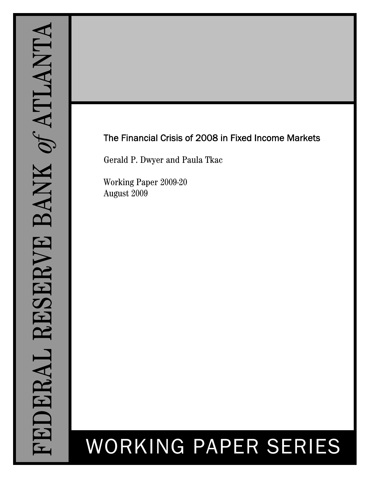## The Financial Crisis of 2008 in Fixed Income Markets

Gerald P. Dwyer and Paula Tkac

Working Paper 2009-20 August 2009

# WORKING PAPER SERIES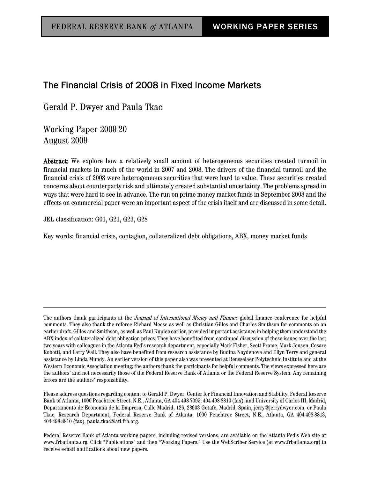## The Financial Crisis of 2008 in Fixed Income Markets

Gerald P. Dwyer and Paula Tkac

Working Paper 2009-20 August 2009

Abstract: We explore how a relatively small amount of heterogeneous securities created turmoil in financial markets in much of the world in 2007 and 2008. The drivers of the financial turmoil and the financial crisis of 2008 were heterogeneous securities that were hard to value. These securities created concerns about counterparty risk and ultimately created substantial uncertainty. The problems spread in ways that were hard to see in advance. The run on prime money market funds in September 2008 and the effects on commercial paper were an important aspect of the crisis itself and are discussed in some detail.

JEL classification: G01, G21, G23, G28

Key words: financial crisis, contagion, collateralized debt obligations, ABX, money market funds

The authors thank participants at the *Journal of International Money and Finance* global finance conference for helpful comments. They also thank the referee Richard Meese as well as Christian Gilles and Charles Smithson for comments on an earlier draft. Gilles and Smithson, as well as Paul Kupiec earlier, provided important assistance in helping them understand the ABX index of collateralized debt obligation prices. They have benefited from continued discussion of these issues over the last two years with colleagues in the Atlanta Fed's research department, especially Mark Fisher, Scott Frame, Mark Jensen, Cesare Robotti, and Larry Wall. They also have benefited from research assistance by Budina Naydenova and Ellyn Terry and general assistance by Linda Mundy. An earlier version of this paper also was presented at Rensselaer Polytechnic Institute and at the Western Economic Association meeting; the authors thank the participants for helpful comments. The views expressed here are the authors' and not necessarily those of the Federal Reserve Bank of Atlanta or the Federal Reserve System. Any remaining errors are the authors' responsibility.

Please address questions regarding content to Gerald P. Dwyer, Center for Financial Innovation and Stability, Federal Reserve Bank of Atlanta, 1000 Peachtree Street, N.E., Atlanta, GA 404-498-7095, 404-498-8810 (fax), and University of Carlos III, Madrid, Departamento de Economía de la Empresa, Calle Madrid, 126, 28903 Getafe, Madrid, Spain, jerry@jerrydwyer.com, or Paula Tkac, Research Department, Federal Reserve Bank of Atlanta, 1000 Peachtree Street, N.E., Atlanta, GA 404-498-8813, 404-498-8810 (fax), paula.tkac@atl.frb.org.

Federal Reserve Bank of Atlanta working papers, including revised versions, are available on the Atlanta Fed's Web site at www.frbatlanta.org. Click "Publications" and then "Working Papers." Use the WebScriber Service (at www.frbatlanta.org) to receive e-mail notifications about new papers.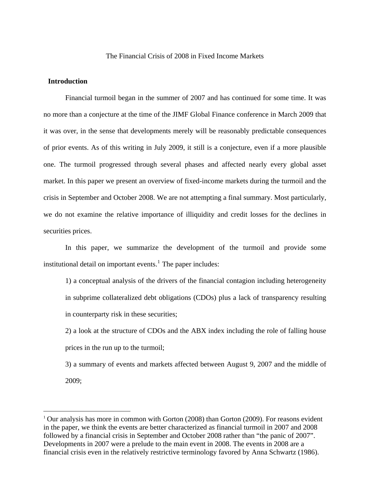#### The Financial Crisis of 2008 in Fixed Income Markets

#### **Introduction**

 $\overline{a}$ 

Financial turmoil began in the summer of 2007 and has continued for some time. It was no more than a conjecture at the time of the JIMF Global Finance conference in March 2009 that it was over, in the sense that developments merely will be reasonably predictable consequences of prior events. As of this writing in July 2009, it still is a conjecture, even if a more plausible one. The turmoil progressed through several phases and affected nearly every global asset market. In this paper we present an overview of fixed-income markets during the turmoil and the crisis in September and October 2008. We are not attempting a final summary. Most particularly, we do not examine the relative importance of illiquidity and credit losses for the declines in securities prices.

In this paper, we summarize the development of the turmoil and provide some institutional detail on important events.<sup>[1](#page-2-0)</sup> The paper includes:

1) a conceptual analysis of the drivers of the financial contagion including heterogeneity in subprime collateralized debt obligations (CDOs) plus a lack of transparency resulting in counterparty risk in these securities;

2) a look at the structure of CDOs and the ABX index including the role of falling house prices in the run up to the turmoil;

3) a summary of events and markets affected between August 9, 2007 and the middle of 2009;

<span id="page-2-0"></span> $1$  Our analysis has more in common with Gorton (2008) than Gorton (2009). For reasons evident in the paper, we think the events are better characterized as financial turmoil in 2007 and 2008 followed by a financial crisis in September and October 2008 rather than "the panic of 2007". Developments in 2007 were a prelude to the main event in 2008. The events in 2008 are a financial crisis even in the relatively restrictive terminology favored by Anna Schwartz (1986).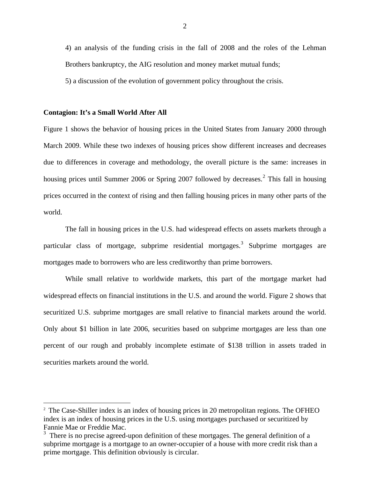4) an analysis of the funding crisis in the fall of 2008 and the roles of the Lehman Brothers bankruptcy, the AIG resolution and money market mutual funds;

5) a discussion of the evolution of government policy throughout the crisis.

#### **Contagion: It's a Small World After All**

 $\overline{a}$ 

Figure 1 shows the behavior of housing prices in the United States from January 2000 through March 2009. While these two indexes of housing prices show different increases and decreases due to differences in coverage and methodology, the overall picture is the same: increases in housing prices until Summer [2](#page-3-0)006 or Spring 2007 followed by decreases.<sup>2</sup> This fall in housing prices occurred in the context of rising and then falling housing prices in many other parts of the world.

The fall in housing prices in the U.S. had widespread effects on assets markets through a particular class of mortgage, subprime residential mortgages.<sup>[3](#page-3-1)</sup> Subprime mortgages are mortgages made to borrowers who are less creditworthy than prime borrowers.

While small relative to worldwide markets, this part of the mortgage market had widespread effects on financial institutions in the U.S. and around the world. Figure 2 shows that securitized U.S. subprime mortgages are small relative to financial markets around the world. Only about \$1 billion in late 2006, securities based on subprime mortgages are less than one percent of our rough and probably incomplete estimate of \$138 trillion in assets traded in securities markets around the world.

<span id="page-3-0"></span><sup>&</sup>lt;sup>2</sup> The Case-Shiller index is an index of housing prices in 20 metropolitan regions. The OFHEO index is an index of housing prices in the U.S. using mortgages purchased or securitized by Fannie Mae or Freddie Mac.

<span id="page-3-1"></span> $3$  There is no precise agreed-upon definition of these mortgages. The general definition of a subprime mortgage is a mortgage to an owner-occupier of a house with more credit risk than a prime mortgage. This definition obviously is circular.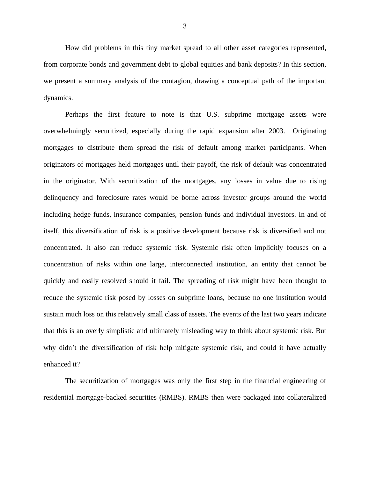How did problems in this tiny market spread to all other asset categories represented, from corporate bonds and government debt to global equities and bank deposits? In this section, we present a summary analysis of the contagion, drawing a conceptual path of the important dynamics.

 Perhaps the first feature to note is that U.S. subprime mortgage assets were overwhelmingly securitized, especially during the rapid expansion after 2003. Originating mortgages to distribute them spread the risk of default among market participants. When originators of mortgages held mortgages until their payoff, the risk of default was concentrated in the originator. With securitization of the mortgages, any losses in value due to rising delinquency and foreclosure rates would be borne across investor groups around the world including hedge funds, insurance companies, pension funds and individual investors. In and of itself, this diversification of risk is a positive development because risk is diversified and not concentrated. It also can reduce systemic risk. Systemic risk often implicitly focuses on a concentration of risks within one large, interconnected institution, an entity that cannot be quickly and easily resolved should it fail. The spreading of risk might have been thought to reduce the systemic risk posed by losses on subprime loans, because no one institution would sustain much loss on this relatively small class of assets. The events of the last two years indicate that this is an overly simplistic and ultimately misleading way to think about systemic risk. But why didn't the diversification of risk help mitigate systemic risk, and could it have actually enhanced it?

 The securitization of mortgages was only the first step in the financial engineering of residential mortgage-backed securities (RMBS). RMBS then were packaged into collateralized

3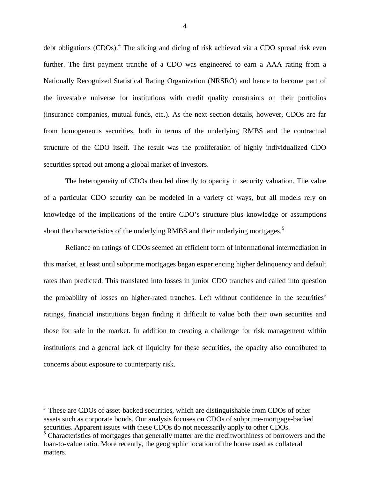debt obligations (CDOs).<sup>[4](#page-5-0)</sup> The slicing and dicing of risk achieved via a CDO spread risk even further. The first payment tranche of a CDO was engineered to earn a AAA rating from a Nationally Recognized Statistical Rating Organization (NRSRO) and hence to become part of the investable universe for institutions with credit quality constraints on their portfolios (insurance companies, mutual funds, etc.). As the next section details, however, CDOs are far from homogeneous securities, both in terms of the underlying RMBS and the contractual structure of the CDO itself. The result was the proliferation of highly individualized CDO securities spread out among a global market of investors.

The heterogeneity of CDOs then led directly to opacity in security valuation. The value of a particular CDO security can be modeled in a variety of ways, but all models rely on knowledge of the implications of the entire CDO's structure plus knowledge or assumptions about the characteristics of the underlying RMBS and their underlying mortgages.<sup>[5](#page-5-1)</sup>

Reliance on ratings of CDOs seemed an efficient form of informational intermediation in this market, at least until subprime mortgages began experiencing higher delinquency and default rates than predicted. This translated into losses in junior CDO tranches and called into question the probability of losses on higher-rated tranches. Left without confidence in the securities' ratings, financial institutions began finding it difficult to value both their own securities and those for sale in the market. In addition to creating a challenge for risk management within institutions and a general lack of liquidity for these securities, the opacity also contributed to concerns about exposure to counterparty risk.

 $\overline{a}$ 

<span id="page-5-0"></span><sup>4</sup> These are CDOs of asset-backed securities, which are distinguishable from CDOs of other assets such as corporate bonds. Our analysis focuses on CDOs of subprime-mortgage-backed securities. Apparent issues with these CDOs do not necessarily apply to other CDOs.

<span id="page-5-1"></span><sup>&</sup>lt;sup>5</sup> Characteristics of mortgages that generally matter are the creditworthiness of borrowers and the loan-to-value ratio. More recently, the geographic location of the house used as collateral matters.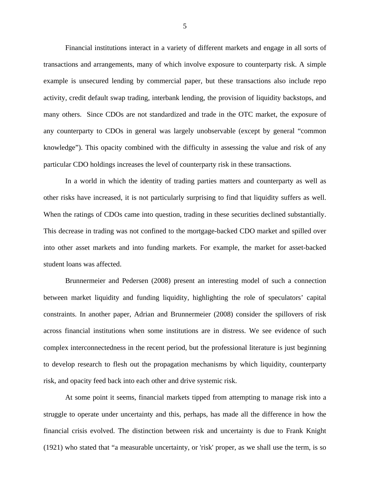Financial institutions interact in a variety of different markets and engage in all sorts of transactions and arrangements, many of which involve exposure to counterparty risk. A simple example is unsecured lending by commercial paper, but these transactions also include repo activity, credit default swap trading, interbank lending, the provision of liquidity backstops, and many others. Since CDOs are not standardized and trade in the OTC market, the exposure of any counterparty to CDOs in general was largely unobservable (except by general "common knowledge"). This opacity combined with the difficulty in assessing the value and risk of any particular CDO holdings increases the level of counterparty risk in these transactions.

In a world in which the identity of trading parties matters and counterparty as well as other risks have increased, it is not particularly surprising to find that liquidity suffers as well. When the ratings of CDOs came into question, trading in these securities declined substantially. This decrease in trading was not confined to the mortgage-backed CDO market and spilled over into other asset markets and into funding markets. For example, the market for asset-backed student loans was affected.

Brunnermeier and Pedersen (2008) present an interesting model of such a connection between market liquidity and funding liquidity, highlighting the role of speculators' capital constraints. In another paper, Adrian and Brunnermeier (2008) consider the spillovers of risk across financial institutions when some institutions are in distress. We see evidence of such complex interconnectedness in the recent period, but the professional literature is just beginning to develop research to flesh out the propagation mechanisms by which liquidity, counterparty risk, and opacity feed back into each other and drive systemic risk.

At some point it seems, financial markets tipped from attempting to manage risk into a struggle to operate under uncertainty and this, perhaps, has made all the difference in how the financial crisis evolved. The distinction between risk and uncertainty is due to Frank Knight (1921) who stated that "a measurable uncertainty, or 'risk' proper, as we shall use the term, is so

5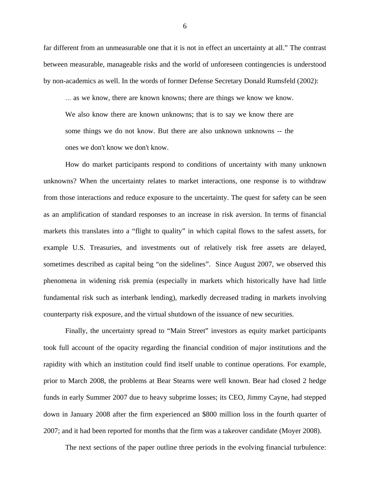far different from an unmeasurable one that it is not in effect an uncertainty at all." The contrast between measurable, manageable risks and the world of unforeseen contingencies is understood by non-academics as well. In the words of former Defense Secretary Donald Rumsfeld (2002):

… as we know, there are known knowns; there are things we know we know. We also know there are known unknowns; that is to say we know there are some things we do not know. But there are also unknown unknowns -- the ones we don't know we don't know.

 How do market participants respond to conditions of uncertainty with many unknown unknowns? When the uncertainty relates to market interactions, one response is to withdraw from those interactions and reduce exposure to the uncertainty. The quest for safety can be seen as an amplification of standard responses to an increase in risk aversion. In terms of financial markets this translates into a "flight to quality" in which capital flows to the safest assets, for example U.S. Treasuries, and investments out of relatively risk free assets are delayed, sometimes described as capital being "on the sidelines". Since August 2007, we observed this phenomena in widening risk premia (especially in markets which historically have had little fundamental risk such as interbank lending), markedly decreased trading in markets involving counterparty risk exposure, and the virtual shutdown of the issuance of new securities.

Finally, the uncertainty spread to "Main Street" investors as equity market participants took full account of the opacity regarding the financial condition of major institutions and the rapidity with which an institution could find itself unable to continue operations. For example, prior to March 2008, the problems at Bear Stearns were well known. Bear had closed 2 hedge funds in early Summer 2007 due to heavy subprime losses; its CEO, Jimmy Cayne, had stepped down in January 2008 after the firm experienced an \$800 million loss in the fourth quarter of 2007; and it had been reported for months that the firm was a takeover candidate (Moyer 2008).

The next sections of the paper outline three periods in the evolving financial turbulence: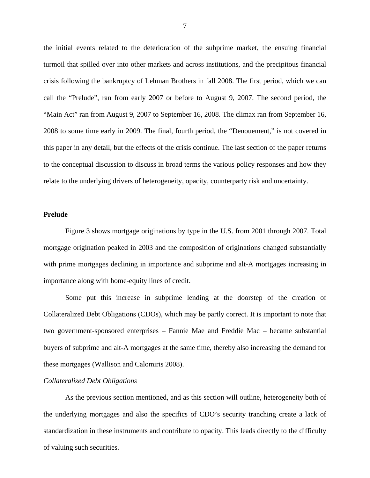the initial events related to the deterioration of the subprime market, the ensuing financial turmoil that spilled over into other markets and across institutions, and the precipitous financial crisis following the bankruptcy of Lehman Brothers in fall 2008. The first period, which we can call the "Prelude", ran from early 2007 or before to August 9, 2007. The second period, the "Main Act" ran from August 9, 2007 to September 16, 2008. The climax ran from September 16, 2008 to some time early in 2009. The final, fourth period, the "Denouement," is not covered in this paper in any detail, but the effects of the crisis continue. The last section of the paper returns to the conceptual discussion to discuss in broad terms the various policy responses and how they relate to the underlying drivers of heterogeneity, opacity, counterparty risk and uncertainty.

#### **Prelude**

Figure 3 shows mortgage originations by type in the U.S. from 2001 through 2007. Total mortgage origination peaked in 2003 and the composition of originations changed substantially with prime mortgages declining in importance and subprime and alt-A mortgages increasing in importance along with home-equity lines of credit.

Some put this increase in subprime lending at the doorstep of the creation of Collateralized Debt Obligations (CDOs), which may be partly correct. It is important to note that two government-sponsored enterprises – Fannie Mae and Freddie Mac – became substantial buyers of subprime and alt-A mortgages at the same time, thereby also increasing the demand for these mortgages (Wallison and Calomiris 2008).

#### *Collateralized Debt Obligations*

As the previous section mentioned, and as this section will outline, heterogeneity both of the underlying mortgages and also the specifics of CDO's security tranching create a lack of standardization in these instruments and contribute to opacity. This leads directly to the difficulty of valuing such securities.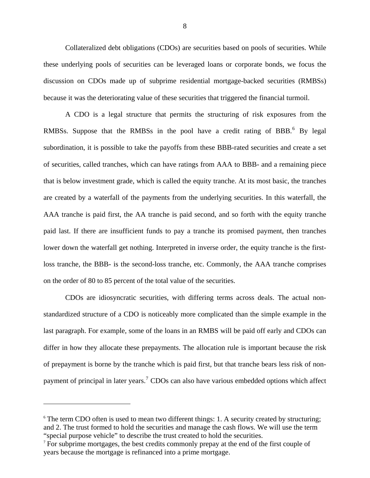Collateralized debt obligations (CDOs) are securities based on pools of securities. While these underlying pools of securities can be leveraged loans or corporate bonds, we focus the discussion on CDOs made up of subprime residential mortgage-backed securities (RMBSs) because it was the deteriorating value of these securities that triggered the financial turmoil.

A CDO is a legal structure that permits the structuring of risk exposures from the RMBSs. Suppose that the RMBSs in the pool have a credit rating of BBB.<sup>[6](#page-9-0)</sup> By legal subordination, it is possible to take the payoffs from these BBB-rated securities and create a set of securities, called tranches, which can have ratings from AAA to BBB- and a remaining piece that is below investment grade, which is called the equity tranche. At its most basic, the tranches are created by a waterfall of the payments from the underlying securities. In this waterfall, the AAA tranche is paid first, the AA tranche is paid second, and so forth with the equity tranche paid last. If there are insufficient funds to pay a tranche its promised payment, then tranches lower down the waterfall get nothing. Interpreted in inverse order, the equity tranche is the firstloss tranche, the BBB- is the second-loss tranche, etc. Commonly, the AAA tranche comprises on the order of 80 to 85 percent of the total value of the securities.

CDOs are idiosyncratic securities, with differing terms across deals. The actual nonstandardized structure of a CDO is noticeably more complicated than the simple example in the last paragraph. For example, some of the loans in an RMBS will be paid off early and CDOs can differ in how they allocate these prepayments. The allocation rule is important because the risk of prepayment is borne by the tranche which is paid first, but that tranche bears less risk of non-payment of principal in later years.<sup>[7](#page-9-1)</sup> CDOs can also have various embedded options which affect

1

<span id="page-9-0"></span><sup>&</sup>lt;sup>6</sup> The term CDO often is used to mean two different things: 1. A security created by structuring; and 2. The trust formed to hold the securities and manage the cash flows. We will use the term

<span id="page-9-1"></span><sup>&</sup>quot;special purpose vehicle" to describe the trust created to hold the securities.<br>"For subprime mortgages, the best credits commonly prepay at the end of the first couple of years because the mortgage is refinanced into a prime mortgage.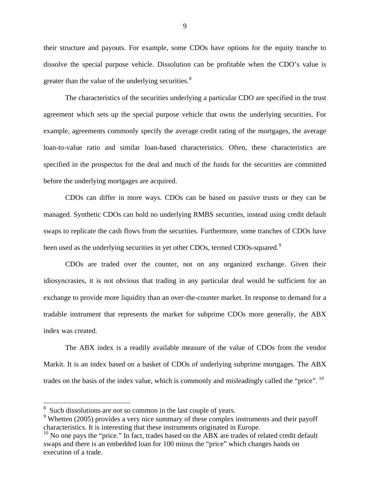their structure and payouts. For example, some CDOs have options for the equity tranche to dissolve the special purpose vehicle. Dissolution can be profitable when the CDO's value is greater than the value of the underlying securities.<sup>[8](#page-10-0)</sup>

The characteristics of the securities underlying a particular CDO are specified in the trust agreement which sets up the special purpose vehicle that owns the underlying securities. For example, agreements commonly specify the average credit rating of the mortgages, the average loan-to-value ratio and similar loan-based characteristics. Often, these characteristics are specified in the prospectus for the deal and much of the funds for the securities are committed before the underlying mortgages are acquired.

CDOs can differ in more ways. CDOs can be based on passive trusts or they can be managed. Synthetic CDOs can hold no underlying RMBS securities, instead using credit default swaps to replicate the cash flows from the securities. Furthermore, some tranches of CDOs have been used as the underlying securities in yet other CDOs, termed CDOs-squared.<sup>[9](#page-10-1)</sup>

CDOs are traded over the counter, not on any organized exchange. Given their idiosyncrasies, it is not obvious that trading in any particular deal would be sufficient for an exchange to provide more liquidity than an over-the-counter market. In response to demand for a tradable instrument that represents the market for subprime CDOs more generally, the ABX index was created.

The ABX index is a readily available measure of the value of CDOs from the vendor Markit. It is an index based on a basket of CDOs of underlying subprime mortgages. The ABX trades on the basis of the index value, which is commonly and misleadingly called the "price". [10](#page-10-2)

<sup>&</sup>lt;sup>8</sup> Such dissolutions are not so common in the last couple of years.

<span id="page-10-1"></span><span id="page-10-0"></span><sup>&</sup>lt;sup>9</sup> Whetten (2005) provides a very nice summary of these complex instruments and their payoff characteristics. It is interesting that these instruments originated in Europe.

<span id="page-10-2"></span> $10$  No one pays the "price." In fact, trades based on the ABX are trades of related credit default swaps and there is an embedded loan for 100 minus the "price" which changes hands on execution of a trade.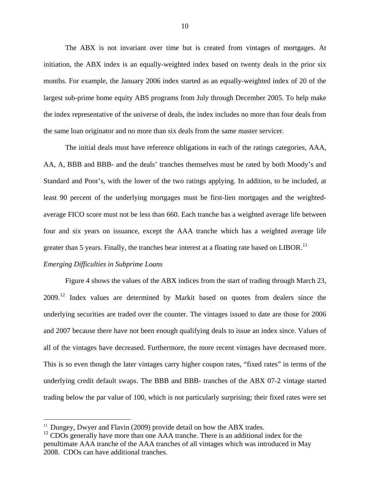The ABX is not invariant over time but is created from vintages of mortgages. At initiation, the ABX index is an equally-weighted index based on twenty deals in the prior six months. For example, the January 2006 index started as an equally-weighted index of 20 of the largest sub-prime home equity ABS programs from July through December 2005. To help make the index representative of the universe of deals, the index includes no more than four deals from the same loan originator and no more than six deals from the same master servicer.

The initial deals must have reference obligations in each of the ratings categories, AAA, AA, A, BBB and BBB- and the deals' tranches themselves must be rated by both Moody's and Standard and Poor's, with the lower of the two ratings applying. In addition, to be included, at least 90 percent of the underlying mortgages must be first-lien mortgages and the weightedaverage FICO score must not be less than 660. Each tranche has a weighted average life between four and six years on issuance, except the AAA tranche which has a weighted average life greater than 5 years. Finally, the tranches bear interest at a floating rate based on LIBOR.<sup>[11](#page-11-0)</sup>

#### *Emerging Difficulties in Subprime Loans*

 $\overline{a}$ 

Figure 4 shows the values of the ABX indices from the start of trading through March 23, 2009.[12](#page-11-1) Index values are determined by Markit based on quotes from dealers since the underlying securities are traded over the counter. The vintages issued to date are those for 2006 and 2007 because there have not been enough qualifying deals to issue an index since. Values of all of the vintages have decreased. Furthermore, the more recent vintages have decreased more. This is so even though the later vintages carry higher coupon rates, "fixed rates" in terms of the underlying credit default swaps. The BBB and BBB- tranches of the ABX 07-2 vintage started trading below the par value of 100, which is not particularly surprising; their fixed rates were set

<span id="page-11-0"></span> $11$  Dungey, Dwyer and Flavin (2009) provide detail on how the ABX trades.

<span id="page-11-1"></span><sup>&</sup>lt;sup>12</sup> CDOs generally have more than one AAA tranche. There is an additional index for the penultimate AAA tranche of the AAA tranches of all vintages which was introduced in May 2008. CDOs can have additional tranches.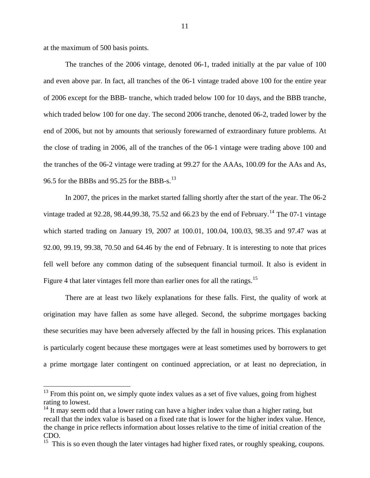at the maximum of 500 basis points.

 $\overline{a}$ 

The tranches of the 2006 vintage, denoted 06-1, traded initially at the par value of 100 and even above par. In fact, all tranches of the 06-1 vintage traded above 100 for the entire year of 2006 except for the BBB- tranche, which traded below 100 for 10 days, and the BBB tranche, which traded below 100 for one day. The second 2006 tranche, denoted 06-2, traded lower by the end of 2006, but not by amounts that seriously forewarned of extraordinary future problems. At the close of trading in 2006, all of the tranches of the 06-1 vintage were trading above 100 and the tranches of the 06-2 vintage were trading at 99.27 for the AAAs, 100.09 for the AAs and As, 96.5 for the BBBs and 95.25 for the BBB-s.<sup>[13](#page-12-0)</sup>

In 2007, the prices in the market started falling shortly after the start of the year. The 06-2 vintage traded at 92.28, 98.44, 99.38, 75.52 and 66.23 by the end of February.<sup>[14](#page-12-1)</sup> The 07-1 vintage which started trading on January 19, 2007 at 100.01, 100.04, 100.03, 98.35 and 97.47 was at 92.00, 99.19, 99.38, 70.50 and 64.46 by the end of February. It is interesting to note that prices fell well before any common dating of the subsequent financial turmoil. It also is evident in Figure 4 that later vintages fell more than earlier ones for all the ratings.<sup>[15](#page-12-2)</sup>

There are at least two likely explanations for these falls. First, the quality of work at origination may have fallen as some have alleged. Second, the subprime mortgages backing these securities may have been adversely affected by the fall in housing prices. This explanation is particularly cogent because these mortgages were at least sometimes used by borrowers to get a prime mortgage later contingent on continued appreciation, or at least no depreciation, in

<span id="page-12-0"></span> $13$  From this point on, we simply quote index values as a set of five values, going from highest rating to lowest.

<span id="page-12-1"></span> $14$  It may seem odd that a lower rating can have a higher index value than a higher rating, but recall that the index value is based on a fixed rate that is lower for the higher index value. Hence, the change in price reflects information about losses relative to the time of initial creation of the CDO.

<span id="page-12-2"></span><sup>&</sup>lt;sup>15</sup> This is so even though the later vintages had higher fixed rates, or roughly speaking, coupons.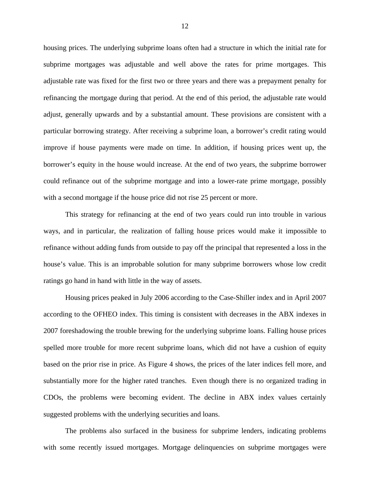housing prices. The underlying subprime loans often had a structure in which the initial rate for subprime mortgages was adjustable and well above the rates for prime mortgages. This adjustable rate was fixed for the first two or three years and there was a prepayment penalty for refinancing the mortgage during that period. At the end of this period, the adjustable rate would adjust, generally upwards and by a substantial amount. These provisions are consistent with a particular borrowing strategy. After receiving a subprime loan, a borrower's credit rating would improve if house payments were made on time. In addition, if housing prices went up, the borrower's equity in the house would increase. At the end of two years, the subprime borrower could refinance out of the subprime mortgage and into a lower-rate prime mortgage, possibly with a second mortgage if the house price did not rise 25 percent or more.

This strategy for refinancing at the end of two years could run into trouble in various ways, and in particular, the realization of falling house prices would make it impossible to refinance without adding funds from outside to pay off the principal that represented a loss in the house's value. This is an improbable solution for many subprime borrowers whose low credit ratings go hand in hand with little in the way of assets.

Housing prices peaked in July 2006 according to the Case-Shiller index and in April 2007 according to the OFHEO index. This timing is consistent with decreases in the ABX indexes in 2007 foreshadowing the trouble brewing for the underlying subprime loans. Falling house prices spelled more trouble for more recent subprime loans, which did not have a cushion of equity based on the prior rise in price. As Figure 4 shows, the prices of the later indices fell more, and substantially more for the higher rated tranches. Even though there is no organized trading in CDOs, the problems were becoming evident. The decline in ABX index values certainly suggested problems with the underlying securities and loans.

The problems also surfaced in the business for subprime lenders, indicating problems with some recently issued mortgages. Mortgage delinquencies on subprime mortgages were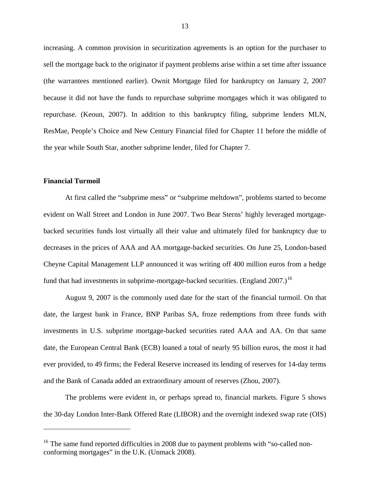increasing. A common provision in securitization agreements is an option for the purchaser to sell the mortgage back to the originator if payment problems arise within a set time after issuance (the warrantees mentioned earlier). Ownit Mortgage filed for bankruptcy on January 2, 2007 because it did not have the funds to repurchase subprime mortgages which it was obligated to repurchase. (Keoun, 2007). In addition to this bankruptcy filing, subprime lenders MLN, ResMae, People's Choice and New Century Financial filed for Chapter 11 before the middle of the year while South Star, another subprime lender, filed for Chapter 7.

#### **Financial Turmoil**

 $\overline{a}$ 

At first called the "subprime mess" or "subprime meltdown", problems started to become evident on Wall Street and London in June 2007. Two Bear Sterns' highly leveraged mortgagebacked securities funds lost virtually all their value and ultimately filed for bankruptcy due to decreases in the prices of AAA and AA mortgage-backed securities. On June 25, London-based Cheyne Capital Management LLP announced it was writing off 400 million euros from a hedge fund that had investments in subprime-mortgage-backed securities. (England  $2007$ .)<sup>[16](#page-14-0)</sup>

August 9, 2007 is the commonly used date for the start of the financial turmoil. On that date, the largest bank in France, BNP Paribas SA, froze redemptions from three funds with investments in U.S. subprime mortgage-backed securities rated AAA and AA. On that same date, the European Central Bank (ECB) loaned a total of nearly 95 billion euros, the most it had ever provided, to 49 firms; the Federal Reserve increased its lending of reserves for 14-day terms and the Bank of Canada added an extraordinary amount of reserves (Zhou, 2007).

The problems were evident in, or perhaps spread to, financial markets. Figure 5 shows the 30-day London Inter-Bank Offered Rate (LIBOR) and the overnight indexed swap rate (OIS)

<span id="page-14-0"></span> $16$  The same fund reported difficulties in 2008 due to payment problems with "so-called nonconforming mortgages" in the U.K. (Unmack 2008).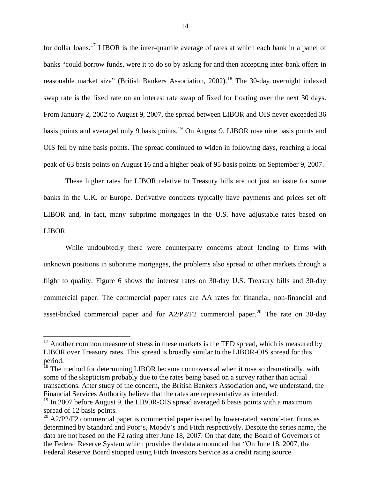for dollar loans.[17](#page-15-0) LIBOR is the inter-quartile average of rates at which each bank in a panel of banks "could borrow funds, were it to do so by asking for and then accepting inter-bank offers in reasonable market size" (British Bankers Association, 2002).<sup>[18](#page-15-1)</sup> The 30-day overnight indexed swap rate is the fixed rate on an interest rate swap of fixed for floating over the next 30 days. From January 2, 2002 to August 9, 2007, the spread between LIBOR and OIS never exceeded 36 basis points and averaged only 9 basis points.[19](#page-15-2) On August 9, LIBOR rose nine basis points and OIS fell by nine basis points. The spread continued to widen in following days, reaching a local peak of 63 basis points on August 16 and a higher peak of 95 basis points on September 9, 2007.

These higher rates for LIBOR relative to Treasury bills are not just an issue for some banks in the U.K. or Europe. Derivative contracts typically have payments and prices set off LIBOR and, in fact, many subprime mortgages in the U.S. have adjustable rates based on LIBOR.

While undoubtedly there were counterparty concerns about lending to firms with unknown positions in subprime mortgages, the problems also spread to other markets through a flight to quality. Figure 6 shows the interest rates on 30-day U.S. Treasury bills and 30-day commercial paper. The commercial paper rates are AA rates for financial, non-financial and asset-backed commercial paper and for  $A2/P2/F2$  commercial paper.<sup>[20](#page-15-3)</sup> The rate on 30-day

1

<span id="page-15-0"></span> $17$  Another common measure of stress in these markets is the TED spread, which is measured by LIBOR over Treasury rates. This spread is broadly similar to the LIBOR-OIS spread for this period.

<span id="page-15-1"></span><sup>&</sup>lt;sup>18</sup> The method for determining LIBOR became controversial when it rose so dramatically, with some of the skepticism probably due to the rates being based on a survey rather than actual transactions. After study of the concern, the British Bankers Association and, we understand, the Financial Services Authority believe that the rates are representative as intended.

<span id="page-15-2"></span> $19$  In 2007 before August 9, the LIBOR-OIS spread averaged 6 basis points with a maximum spread of 12 basis points.<br> $^{20}$  A2/D2/E2

<span id="page-15-3"></span>A2/P2/F2 commercial paper is commercial paper issued by lower-rated, second-tier, firms as determined by Standard and Poor's, Moody's and Fitch respectively. Despite the series name, the data are not based on the F2 rating after June 18, 2007. On that date, the Board of Governors of the Federal Reserve System which provides the data announced that "On June 18, 2007, the Federal Reserve Board stopped using Fitch Investors Service as a credit rating source.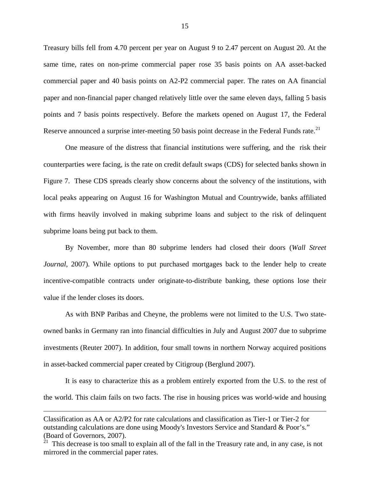Treasury bills fell from 4.70 percent per year on August 9 to 2.47 percent on August 20. At the same time, rates on non-prime commercial paper rose 35 basis points on AA asset-backed commercial paper and 40 basis points on A2-P2 commercial paper. The rates on AA financial paper and non-financial paper changed relatively little over the same eleven days, falling 5 basis points and 7 basis points respectively. Before the markets opened on August 17, the Federal Reserve announced a surprise inter-meeting 50 basis point decrease in the Federal Funds rate.<sup>[21](#page-16-0)</sup>

One measure of the distress that financial institutions were suffering, and the risk their counterparties were facing, is the rate on credit default swaps (CDS) for selected banks shown in Figure 7. These CDS spreads clearly show concerns about the solvency of the institutions, with local peaks appearing on August 16 for Washington Mutual and Countrywide, banks affiliated with firms heavily involved in making subprime loans and subject to the risk of delinquent subprime loans being put back to them.

By November, more than 80 subprime lenders had closed their doors (*Wall Street Journal*, 2007). While options to put purchased mortgages back to the lender help to create incentive-compatible contracts under originate-to-distribute banking, these options lose their value if the lender closes its doors.

As with BNP Paribas and Cheyne, the problems were not limited to the U.S. Two stateowned banks in Germany ran into financial difficulties in July and August 2007 due to subprime investments (Reuter 2007). In addition, four small towns in northern Norway acquired positions in asset-backed commercial paper created by Citigroup (Berglund 2007).

It is easy to characterize this as a problem entirely exported from the U.S. to the rest of the world. This claim fails on two facts. The rise in housing prices was world-wide and housing

 $\overline{a}$ 

Classification as AA or A2/P2 for rate calculations and classification as Tier-1 or Tier-2 for outstanding calculations are done using Moody's Investors Service and Standard & Poor's." (Board of Governors, 2007).

<span id="page-16-0"></span> $2<sup>1</sup>$  This decrease is too small to explain all of the fall in the Treasury rate and, in any case, is not mirrored in the commercial paper rates.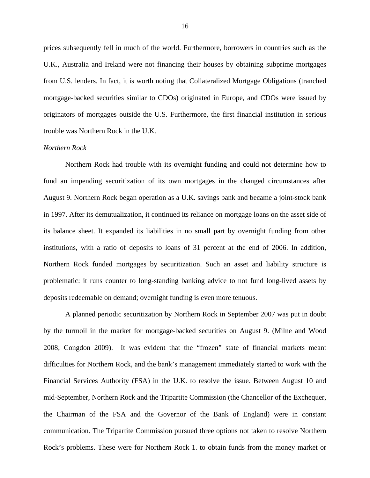prices subsequently fell in much of the world. Furthermore, borrowers in countries such as the U.K., Australia and Ireland were not financing their houses by obtaining subprime mortgages from U.S. lenders. In fact, it is worth noting that Collateralized Mortgage Obligations (tranched mortgage-backed securities similar to CDOs) originated in Europe, and CDOs were issued by originators of mortgages outside the U.S. Furthermore, the first financial institution in serious trouble was Northern Rock in the U.K.

#### *Northern Rock*

 Northern Rock had trouble with its overnight funding and could not determine how to fund an impending securitization of its own mortgages in the changed circumstances after August 9. Northern Rock began operation as a U.K. savings bank and became a joint-stock bank in 1997. After its demutualization, it continued its reliance on mortgage loans on the asset side of its balance sheet. It expanded its liabilities in no small part by overnight funding from other institutions, with a ratio of deposits to loans of 31 percent at the end of 2006. In addition, Northern Rock funded mortgages by securitization. Such an asset and liability structure is problematic: it runs counter to long-standing banking advice to not fund long-lived assets by deposits redeemable on demand; overnight funding is even more tenuous.

A planned periodic securitization by Northern Rock in September 2007 was put in doubt by the turmoil in the market for mortgage-backed securities on August 9. (Milne and Wood 2008; Congdon 2009). It was evident that the "frozen" state of financial markets meant difficulties for Northern Rock, and the bank's management immediately started to work with the Financial Services Authority (FSA) in the U.K. to resolve the issue. Between August 10 and mid-September, Northern Rock and the Tripartite Commission (the Chancellor of the Exchequer, the Chairman of the FSA and the Governor of the Bank of England) were in constant communication. The Tripartite Commission pursued three options not taken to resolve Northern Rock's problems. These were for Northern Rock 1. to obtain funds from the money market or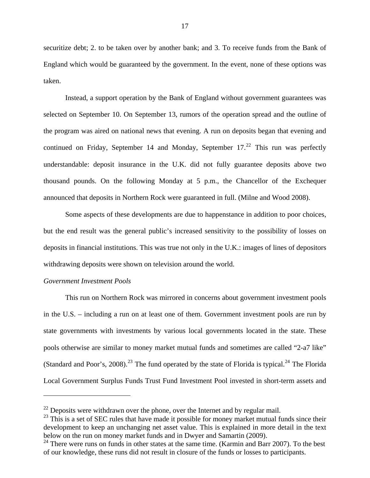securitize debt; 2. to be taken over by another bank; and 3. To receive funds from the Bank of England which would be guaranteed by the government. In the event, none of these options was taken.

Instead, a support operation by the Bank of England without government guarantees was selected on September 10. On September 13, rumors of the operation spread and the outline of the program was aired on national news that evening. A run on deposits began that evening and continued on Friday, September 14 and Monday, September  $17.^{22}$  $17.^{22}$  $17.^{22}$  This run was perfectly understandable: deposit insurance in the U.K. did not fully guarantee deposits above two thousand pounds. On the following Monday at 5 p.m., the Chancellor of the Exchequer announced that deposits in Northern Rock were guaranteed in full. (Milne and Wood 2008).

Some aspects of these developments are due to happenstance in addition to poor choices, but the end result was the general public's increased sensitivity to the possibility of losses on deposits in financial institutions. This was true not only in the U.K.: images of lines of depositors withdrawing deposits were shown on television around the world.

#### *Government Investment Pools*

 $\overline{a}$ 

This run on Northern Rock was mirrored in concerns about government investment pools in the U.S. – including a run on at least one of them. Government investment pools are run by state governments with investments by various local governments located in the state. These pools otherwise are similar to money market mutual funds and sometimes are called "2-a7 like" (Standard and Poor's, 2008).<sup>[23](#page-18-1)</sup> The fund operated by the state of Florida is typical.<sup>[24](#page-18-2)</sup> The Florida Local Government Surplus Funds Trust Fund Investment Pool invested in short-term assets and

<span id="page-18-0"></span> $22$  Deposits were withdrawn over the phone, over the Internet and by regular mail.

<span id="page-18-1"></span><sup>&</sup>lt;sup>23</sup> This is a set of SEC rules that have made it possible for money market mutual funds since their development to keep an unchanging net asset value. This is explained in more detail in the text below on the run on money market funds and in Dwyer and Samartin (2009).

<span id="page-18-2"></span> $24$  There were runs on funds in other states at the same time. (Karmin and Barr 2007). To the best of our knowledge, these runs did not result in closure of the funds or losses to participants.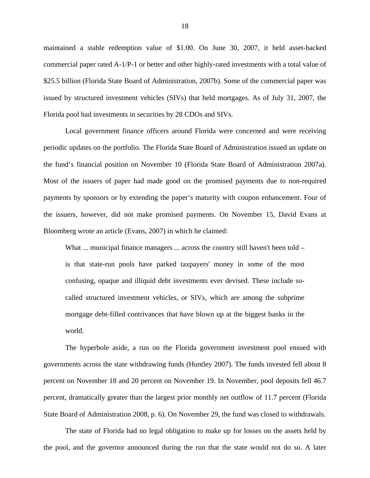maintained a stable redemption value of \$1.00. On June 30, 2007, it held asset-backed commercial paper rated A-1/P-1 or better and other highly-rated investments with a total value of \$25.5 billion (Florida State Board of Administration, 2007b). Some of the commercial paper was issued by structured investment vehicles (SIVs) that held mortgages. As of July 31, 2007, the Florida pool had investments in securities by 28 CDOs and SIVs.

Local government finance officers around Florida were concerned and were receiving periodic updates on the portfolio. The Florida State Board of Administration issued an update on the fund's financial position on November 10 (Florida State Board of Administration 2007a). Most of the issuers of paper had made good on the promised payments due to non-required payments by sponsors or by extending the paper's maturity with coupon enhancement. Four of the issuers, however, did not make promised payments. On November 15, David Evans at Bloomberg wrote an article (Evans, 2007) in which he claimed:

What ... municipal finance managers ... across the country still haven't been told – is that state-run pools have parked taxpayers' money in some of the most confusing, opaque and illiquid debt investments ever devised. These include socalled structured investment vehicles, or SIVs, which are among the subprime mortgage debt-filled contrivances that have blown up at the biggest banks in the world.

The hyperbole aside, a run on the Florida government investment pool ensued with governments across the state withdrawing funds (Huntley 2007). The funds invested fell about 8 percent on November 18 and 20 percent on November 19. In November, pool deposits fell 46.7 percent, dramatically greater than the largest prior monthly net outflow of 11.7 percent (Florida State Board of Administration 2008, p. 6). On November 29, the fund was closed to withdrawals.

The state of Florida had no legal obligation to make up for losses on the assets held by the pool, and the governor announced during the run that the state would not do so. A later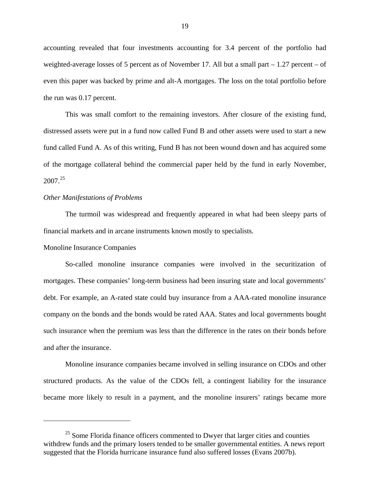accounting revealed that four investments accounting for 3.4 percent of the portfolio had weighted-average losses of 5 percent as of November 17. All but a small part  $-1.27$  percent  $-$  of even this paper was backed by prime and alt-A mortgages. The loss on the total portfolio before the run was 0.17 percent.

This was small comfort to the remaining investors. After closure of the existing fund, distressed assets were put in a fund now called Fund B and other assets were used to start a new fund called Fund A. As of this writing, Fund B has not been wound down and has acquired some of the mortgage collateral behind the commercial paper held by the fund in early November,  $2007^{25}$  $2007^{25}$  $2007^{25}$ 

#### *Other Manifestations of Problems*

The turmoil was widespread and frequently appeared in what had been sleepy parts of financial markets and in arcane instruments known mostly to specialists.

Monoline Insurance Companies

 $\overline{a}$ 

So-called monoline insurance companies were involved in the securitization of mortgages. These companies' long-term business had been insuring state and local governments' debt. For example, an A-rated state could buy insurance from a AAA-rated monoline insurance company on the bonds and the bonds would be rated AAA. States and local governments bought such insurance when the premium was less than the difference in the rates on their bonds before and after the insurance.

Monoline insurance companies became involved in selling insurance on CDOs and other structured products. As the value of the CDOs fell, a contingent liability for the insurance became more likely to result in a payment, and the monoline insurers' ratings became more

<span id="page-20-0"></span> $25$  Some Florida finance officers commented to Dwyer that larger cities and counties withdrew funds and the primary losers tended to be smaller governmental entities. A news report suggested that the Florida hurricane insurance fund also suffered losses (Evans 2007b).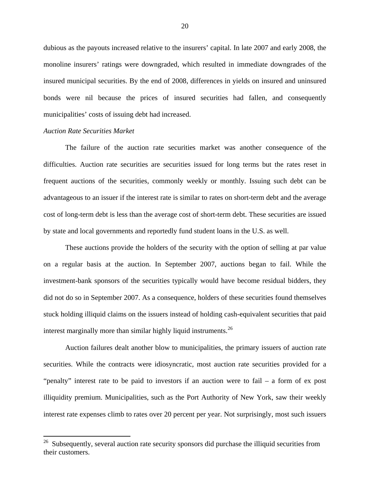dubious as the payouts increased relative to the insurers' capital. In late 2007 and early 2008, the monoline insurers' ratings were downgraded, which resulted in immediate downgrades of the insured municipal securities. By the end of 2008, differences in yields on insured and uninsured bonds were nil because the prices of insured securities had fallen, and consequently municipalities' costs of issuing debt had increased.

#### *Auction Rate Securities Market*

 $\overline{a}$ 

The failure of the auction rate securities market was another consequence of the difficulties. Auction rate securities are securities issued for long terms but the rates reset in frequent auctions of the securities, commonly weekly or monthly. Issuing such debt can be advantageous to an issuer if the interest rate is similar to rates on short-term debt and the average cost of long-term debt is less than the average cost of short-term debt. These securities are issued by state and local governments and reportedly fund student loans in the U.S. as well.

These auctions provide the holders of the security with the option of selling at par value on a regular basis at the auction. In September 2007, auctions began to fail. While the investment-bank sponsors of the securities typically would have become residual bidders, they did not do so in September 2007. As a consequence, holders of these securities found themselves stuck holding illiquid claims on the issuers instead of holding cash-equivalent securities that paid interest marginally more than similar highly liquid instruments.<sup>[26](#page-21-0)</sup>

Auction failures dealt another blow to municipalities, the primary issuers of auction rate securities. While the contracts were idiosyncratic, most auction rate securities provided for a "penalty" interest rate to be paid to investors if an auction were to fail – a form of ex post illiquidity premium. Municipalities, such as the Port Authority of New York, saw their weekly interest rate expenses climb to rates over 20 percent per year. Not surprisingly, most such issuers

<span id="page-21-0"></span> $26$  Subsequently, several auction rate security sponsors did purchase the illiquid securities from their customers.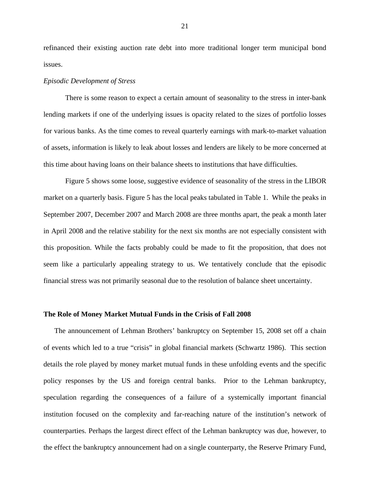refinanced their existing auction rate debt into more traditional longer term municipal bond issues.

#### *Episodic Development of Stress*

There is some reason to expect a certain amount of seasonality to the stress in inter-bank lending markets if one of the underlying issues is opacity related to the sizes of portfolio losses for various banks. As the time comes to reveal quarterly earnings with mark-to-market valuation of assets, information is likely to leak about losses and lenders are likely to be more concerned at this time about having loans on their balance sheets to institutions that have difficulties.

Figure 5 shows some loose, suggestive evidence of seasonality of the stress in the LIBOR market on a quarterly basis. Figure 5 has the local peaks tabulated in Table 1. While the peaks in September 2007, December 2007 and March 2008 are three months apart, the peak a month later in April 2008 and the relative stability for the next six months are not especially consistent with this proposition. While the facts probably could be made to fit the proposition, that does not seem like a particularly appealing strategy to us. We tentatively conclude that the episodic financial stress was not primarily seasonal due to the resolution of balance sheet uncertainty.

#### **The Role of Money Market Mutual Funds in the Crisis of Fall 2008**

The announcement of Lehman Brothers' bankruptcy on September 15, 2008 set off a chain of events which led to a true "crisis" in global financial markets (Schwartz 1986). This section details the role played by money market mutual funds in these unfolding events and the specific policy responses by the US and foreign central banks. Prior to the Lehman bankruptcy, speculation regarding the consequences of a failure of a systemically important financial institution focused on the complexity and far-reaching nature of the institution's network of counterparties. Perhaps the largest direct effect of the Lehman bankruptcy was due, however, to the effect the bankruptcy announcement had on a single counterparty, the Reserve Primary Fund,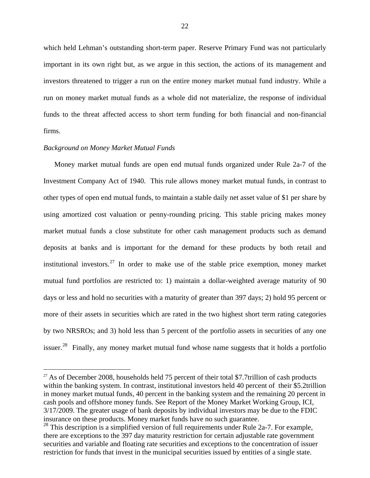which held Lehman's outstanding short-term paper. Reserve Primary Fund was not particularly important in its own right but, as we argue in this section, the actions of its management and investors threatened to trigger a run on the entire money market mutual fund industry. While a run on money market mutual funds as a whole did not materialize, the response of individual funds to the threat affected access to short term funding for both financial and non-financial firms.

#### *Background on Money Market Mutual Funds*

1

Money market mutual funds are open end mutual funds organized under Rule 2a-7 of the Investment Company Act of 1940. This rule allows money market mutual funds, in contrast to other types of open end mutual funds, to maintain a stable daily net asset value of \$1 per share by using amortized cost valuation or penny-rounding pricing. This stable pricing makes money market mutual funds a close substitute for other cash management products such as demand deposits at banks and is important for the demand for these products by both retail and institutional investors.<sup>[27](#page-23-0)</sup> In order to make use of the stable price exemption, money market mutual fund portfolios are restricted to: 1) maintain a dollar-weighted average maturity of 90 days or less and hold no securities with a maturity of greater than 397 days; 2) hold 95 percent or more of their assets in securities which are rated in the two highest short term rating categories by two NRSROs; and 3) hold less than 5 percent of the portfolio assets in securities of any one issuer.<sup>[28](#page-23-1)</sup> Finally, any money market mutual fund whose name suggests that it holds a portfolio

<span id="page-23-0"></span> $27$  As of December 2008, households held 75 percent of their total \$7.7trillion of cash products within the banking system. In contrast, institutional investors held 40 percent of their \$5.2trillion in money market mutual funds, 40 percent in the banking system and the remaining 20 percent in cash pools and offshore money funds. See Report of the Money Market Working Group, ICI, 3/17/2009. The greater usage of bank deposits by individual investors may be due to the FDIC insurance on these products. Money market funds have no such guarantee.

<span id="page-23-1"></span> $28$  This description is a simplified version of full requirements under Rule 2a-7. For example, there are exceptions to the 397 day maturity restriction for certain adjustable rate government securities and variable and floating rate securities and exceptions to the concentration of issuer restriction for funds that invest in the municipal securities issued by entities of a single state.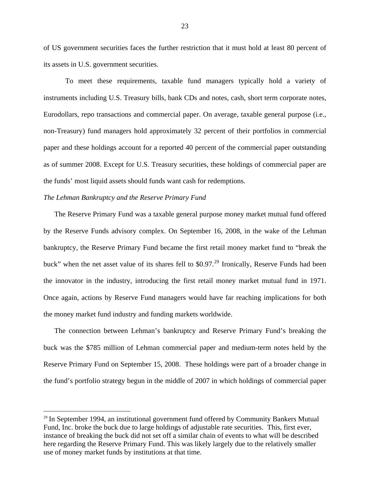of US government securities faces the further restriction that it must hold at least 80 percent of its assets in U.S. government securities.

To meet these requirements, taxable fund managers typically hold a variety of instruments including U.S. Treasury bills, bank CDs and notes, cash, short term corporate notes, Eurodollars, repo transactions and commercial paper. On average, taxable general purpose (i.e., non-Treasury) fund managers hold approximately 32 percent of their portfolios in commercial paper and these holdings account for a reported 40 percent of the commercial paper outstanding as of summer 2008. Except for U.S. Treasury securities, these holdings of commercial paper are the funds' most liquid assets should funds want cash for redemptions.

#### *The Lehman Bankruptcy and the Reserve Primary Fund*

 $\overline{a}$ 

The Reserve Primary Fund was a taxable general purpose money market mutual fund offered by the Reserve Funds advisory complex. On September 16, 2008, in the wake of the Lehman bankruptcy, the Reserve Primary Fund became the first retail money market fund to "break the buck" when the net asset value of its shares fell to  $$0.97<sup>29</sup>$  $$0.97<sup>29</sup>$  $$0.97<sup>29</sup>$  Ironically, Reserve Funds had been the innovator in the industry, introducing the first retail money market mutual fund in 1971. Once again, actions by Reserve Fund managers would have far reaching implications for both the money market fund industry and funding markets worldwide.

The connection between Lehman's bankruptcy and Reserve Primary Fund's breaking the buck was the \$785 million of Lehman commercial paper and medium-term notes held by the Reserve Primary Fund on September 15, 2008. These holdings were part of a broader change in the fund's portfolio strategy begun in the middle of 2007 in which holdings of commercial paper

<span id="page-24-0"></span> $29$  In September 1994, an institutional government fund offered by Community Bankers Mutual Fund, Inc. broke the buck due to large holdings of adjustable rate securities. This, first ever, instance of breaking the buck did not set off a similar chain of events to what will be described here regarding the Reserve Primary Fund. This was likely largely due to the relatively smaller use of money market funds by institutions at that time.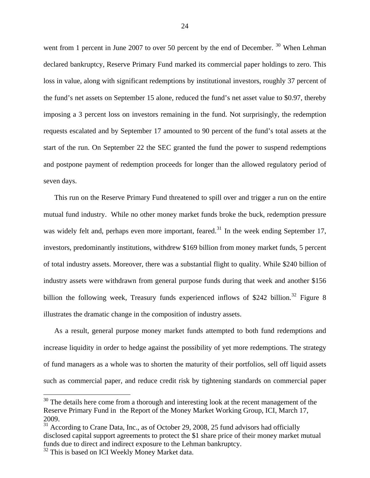went from 1 percent in June 2007 to over 50 percent by the end of December.<sup>[30](#page-25-0)</sup> When Lehman declared bankruptcy, Reserve Primary Fund marked its commercial paper holdings to zero. This loss in value, along with significant redemptions by institutional investors, roughly 37 percent of the fund's net assets on September 15 alone, reduced the fund's net asset value to \$0.97, thereby imposing a 3 percent loss on investors remaining in the fund. Not surprisingly, the redemption requests escalated and by September 17 amounted to 90 percent of the fund's total assets at the start of the run. On September 22 the SEC granted the fund the power to suspend redemptions and postpone payment of redemption proceeds for longer than the allowed regulatory period of seven days.

This run on the Reserve Primary Fund threatened to spill over and trigger a run on the entire mutual fund industry. While no other money market funds broke the buck, redemption pressure was widely felt and, perhaps even more important, feared.<sup>[31](#page-25-1)</sup> In the week ending September 17, investors, predominantly institutions, withdrew \$169 billion from money market funds, 5 percent of total industry assets. Moreover, there was a substantial flight to quality. While \$240 billion of industry assets were withdrawn from general purpose funds during that week and another \$156 billion the following week, Treasury funds experienced inflows of \$242 billion.<sup>[32](#page-25-2)</sup> Figure 8 illustrates the dramatic change in the composition of industry assets.

As a result, general purpose money market funds attempted to both fund redemptions and increase liquidity in order to hedge against the possibility of yet more redemptions. The strategy of fund managers as a whole was to shorten the maturity of their portfolios, sell off liquid assets such as commercial paper, and reduce credit risk by tightening standards on commercial paper

1

<span id="page-25-0"></span> $30$  The details here come from a thorough and interesting look at the recent management of the Reserve Primary Fund in the Report of the Money Market Working Group, ICI, March 17, 2009.

<span id="page-25-1"></span><sup>&</sup>lt;sup>31</sup> According to Crane Data, Inc., as of October 29, 2008, 25 fund advisors had officially disclosed capital support agreements to protect the \$1 share price of their money market mutual funds due to direct and indirect exposure to the Lehman bankruptcy.

<span id="page-25-2"></span> $32$  This is based on ICI Weekly Money Market data.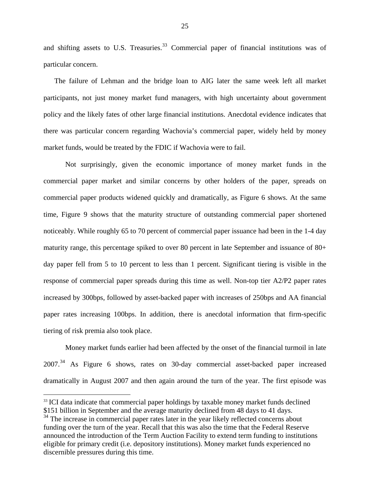and shifting assets to U.S. Treasuries.<sup>[33](#page-26-0)</sup> Commercial paper of financial institutions was of particular concern.

The failure of Lehman and the bridge loan to AIG later the same week left all market participants, not just money market fund managers, with high uncertainty about government policy and the likely fates of other large financial institutions. Anecdotal evidence indicates that there was particular concern regarding Wachovia's commercial paper, widely held by money market funds, would be treated by the FDIC if Wachovia were to fail.

Not surprisingly, given the economic importance of money market funds in the commercial paper market and similar concerns by other holders of the paper, spreads on commercial paper products widened quickly and dramatically, as Figure 6 shows. At the same time, Figure 9 shows that the maturity structure of outstanding commercial paper shortened noticeably. While roughly 65 to 70 percent of commercial paper issuance had been in the 1-4 day maturity range, this percentage spiked to over 80 percent in late September and issuance of 80+ day paper fell from 5 to 10 percent to less than 1 percent. Significant tiering is visible in the response of commercial paper spreads during this time as well. Non-top tier A2/P2 paper rates increased by 300bps, followed by asset-backed paper with increases of 250bps and AA financial paper rates increasing 100bps. In addition, there is anecdotal information that firm-specific tiering of risk premia also took place.

 Money market funds earlier had been affected by the onset of the financial turmoil in late 2007.[34](#page-26-1) As Figure 6 shows, rates on 30-day commercial asset-backed paper increased dramatically in August 2007 and then again around the turn of the year. The first episode was

 $\overline{a}$ 

<span id="page-26-0"></span><sup>&</sup>lt;sup>33</sup> ICI data indicate that commercial paper holdings by taxable money market funds declined \$151 billion in September and the average maturity declined from 48 days to 41 days.

<span id="page-26-1"></span><sup>&</sup>lt;sup>34</sup> The increase in commercial paper rates later in the year likely reflected concerns about funding over the turn of the year. Recall that this was also the time that the Federal Reserve announced the introduction of the Term Auction Facility to extend term funding to institutions eligible for primary credit (i.e. depository institutions). Money market funds experienced no discernible pressures during this time.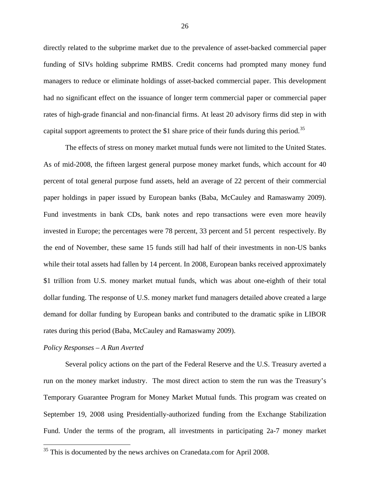directly related to the subprime market due to the prevalence of asset-backed commercial paper funding of SIVs holding subprime RMBS. Credit concerns had prompted many money fund managers to reduce or eliminate holdings of asset-backed commercial paper. This development had no significant effect on the issuance of longer term commercial paper or commercial paper rates of high-grade financial and non-financial firms. At least 20 advisory firms did step in with capital support agreements to protect the \$1 share price of their funds during this period.<sup>[35](#page-27-0)</sup>

 The effects of stress on money market mutual funds were not limited to the United States. As of mid-2008, the fifteen largest general purpose money market funds, which account for 40 percent of total general purpose fund assets, held an average of 22 percent of their commercial paper holdings in paper issued by European banks (Baba, McCauley and Ramaswamy 2009). Fund investments in bank CDs, bank notes and repo transactions were even more heavily invested in Europe; the percentages were 78 percent, 33 percent and 51 percent respectively. By the end of November, these same 15 funds still had half of their investments in non-US banks while their total assets had fallen by 14 percent. In 2008, European banks received approximately \$1 trillion from U.S. money market mutual funds, which was about one-eighth of their total dollar funding. The response of U.S. money market fund managers detailed above created a large demand for dollar funding by European banks and contributed to the dramatic spike in LIBOR rates during this period (Baba, McCauley and Ramaswamy 2009).

#### *Policy Responses – A Run Averted*

<u>.</u>

Several policy actions on the part of the Federal Reserve and the U.S. Treasury averted a run on the money market industry. The most direct action to stem the run was the Treasury's Temporary Guarantee Program for Money Market Mutual funds. This program was created on September 19, 2008 using Presidentially-authorized funding from the Exchange Stabilization Fund. Under the terms of the program, all investments in participating 2a-7 money market

<span id="page-27-0"></span> $35$  This is documented by the news archives on Cranedata.com for April 2008.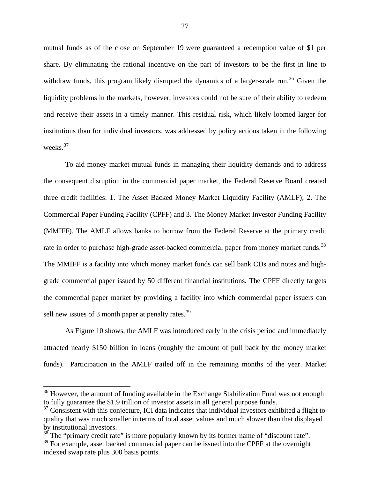mutual funds as of the close on September 19 were guaranteed a redemption value of \$1 per share. By eliminating the rational incentive on the part of investors to be the first in line to withdraw funds, this program likely disrupted the dynamics of a larger-scale run.<sup>[36](#page-28-0)</sup> Given the liquidity problems in the markets, however, investors could not be sure of their ability to redeem and receive their assets in a timely manner. This residual risk, which likely loomed larger for institutions than for individual investors, was addressed by policy actions taken in the following weeks.<sup>[37](#page-28-1)</sup>

 To aid money market mutual funds in managing their liquidity demands and to address the consequent disruption in the commercial paper market, the Federal Reserve Board created three credit facilities: 1. The Asset Backed Money Market Liquidity Facility (AMLF); 2. The Commercial Paper Funding Facility (CPFF) and 3. The Money Market Investor Funding Facility (MMIFF). The AMLF allows banks to borrow from the Federal Reserve at the primary credit rate in order to purchase high-grade asset-backed commercial paper from money market funds.<sup>[38](#page-28-2)</sup> The MMIFF is a facility into which money market funds can sell bank CDs and notes and highgrade commercial paper issued by 50 different financial institutions. The CPFF directly targets the commercial paper market by providing a facility into which commercial paper issuers can sell new issues of 3 month paper at penalty rates.<sup>[39](#page-28-3)</sup>

 As Figure 10 shows, the AMLF was introduced early in the crisis period and immediately attracted nearly \$150 billion in loans (roughly the amount of pull back by the money market funds). Participation in the AMLF trailed off in the remaining months of the year. Market

 $\overline{a}$ 

<span id="page-28-0"></span> $36$  However, the amount of funding available in the Exchange Stabilization Fund was not enough to fully guarantee the \$1.9 trillion of investor assets in all general purpose funds.

<span id="page-28-1"></span> $37$  Consistent with this conjecture, ICI data indicates that individual investors exhibited a flight to quality that was much smaller in terms of total asset values and much slower than that displayed by institutional investors.

<span id="page-28-2"></span> $38$ <sup>38</sup> The "primary credit rate" is more popularly known by its former name of "discount rate".

<span id="page-28-3"></span> $39$  For example, asset backed commercial paper can be issued into the CPFF at the overnight indexed swap rate plus 300 basis points.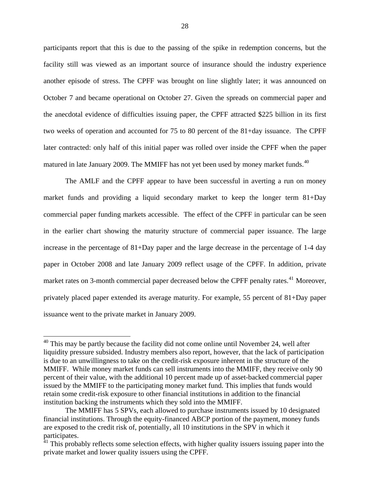participants report that this is due to the passing of the spike in redemption concerns, but the facility still was viewed as an important source of insurance should the industry experience another episode of stress. The CPFF was brought on line slightly later; it was announced on October 7 and became operational on October 27. Given the spreads on commercial paper and the anecdotal evidence of difficulties issuing paper, the CPFF attracted \$225 billion in its first two weeks of operation and accounted for 75 to 80 percent of the 81+day issuance. The CPFF later contracted: only half of this initial paper was rolled over inside the CPFF when the paper matured in late January 2009. The MMIFF has not yet been used by money market funds.<sup>[40](#page-29-0)</sup>

 The AMLF and the CPFF appear to have been successful in averting a run on money market funds and providing a liquid secondary market to keep the longer term 81+Day commercial paper funding markets accessible. The effect of the CPFF in particular can be seen in the earlier chart showing the maturity structure of commercial paper issuance. The large increase in the percentage of 81+Day paper and the large decrease in the percentage of 1-4 day paper in October 2008 and late January 2009 reflect usage of the CPFF. In addition, private market rates on 3-month commercial paper decreased below the CPFF penalty rates.<sup>[41](#page-29-1)</sup> Moreover, privately placed paper extended its average maturity. For example, 55 percent of 81+Day paper issuance went to the private market in January 2009.

1

<span id="page-29-0"></span> $40$  This may be partly because the facility did not come online until November 24, well after liquidity pressure subsided. Industry members also report, however, that the lack of participation is due to an unwillingness to take on the credit-risk exposure inherent in the structure of the MMIFF. While money market funds can sell instruments into the MMIFF, they receive only 90 percent of their value, with the additional 10 percent made up of asset-backed commercial paper issued by the MMIFF to the participating money market fund. This implies that funds would retain some credit-risk exposure to other financial institutions in addition to the financial institution backing the instruments which they sold into the MMIFF.

The MMIFF has 5 SPVs, each allowed to purchase instruments issued by 10 designated financial institutions. Through the equity-financed ABCP portion of the payment, money funds are exposed to the credit risk of, potentially, all 10 institutions in the SPV in which it participates.

<span id="page-29-1"></span> $41$  This probably reflects some selection effects, with higher quality issuers issuing paper into the private market and lower quality issuers using the CPFF.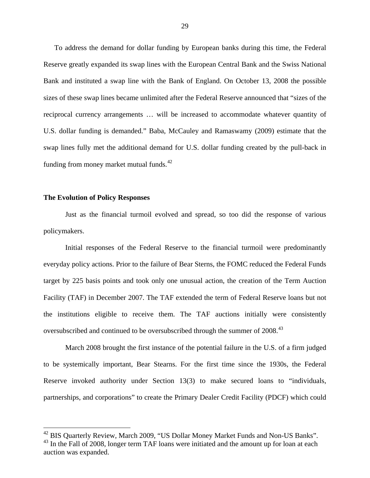To address the demand for dollar funding by European banks during this time, the Federal Reserve greatly expanded its swap lines with the European Central Bank and the Swiss National Bank and instituted a swap line with the Bank of England. On October 13, 2008 the possible sizes of these swap lines became unlimited after the Federal Reserve announced that "sizes of the reciprocal currency arrangements … will be increased to accommodate whatever quantity of U.S. dollar funding is demanded." Baba, McCauley and Ramaswamy (2009) estimate that the swap lines fully met the additional demand for U.S. dollar funding created by the pull-back in funding from money market mutual funds. $42$ 

#### **The Evolution of Policy Responses**

 $\overline{a}$ 

Just as the financial turmoil evolved and spread, so too did the response of various policymakers.

Initial responses of the Federal Reserve to the financial turmoil were predominantly everyday policy actions. Prior to the failure of Bear Sterns, the FOMC reduced the Federal Funds target by 225 basis points and took only one unusual action, the creation of the Term Auction Facility (TAF) in December 2007. The TAF extended the term of Federal Reserve loans but not the institutions eligible to receive them. The TAF auctions initially were consistently oversubscribed and continued to be oversubscribed through the summer of 2008.<sup>[43](#page-30-1)</sup>

March 2008 brought the first instance of the potential failure in the U.S. of a firm judged to be systemically important, Bear Stearns. For the first time since the 1930s, the Federal Reserve invoked authority under Section 13(3) to make secured loans to "individuals, partnerships, and corporations" to create the Primary Dealer Credit Facility (PDCF) which could

<span id="page-30-0"></span><sup>&</sup>lt;sup>42</sup> BIS Quarterly Review, March 2009, "US Dollar Money Market Funds and Non-US Banks".

<span id="page-30-1"></span> $43$  In the Fall of 2008, longer term TAF loans were initiated and the amount up for loan at each auction was expanded.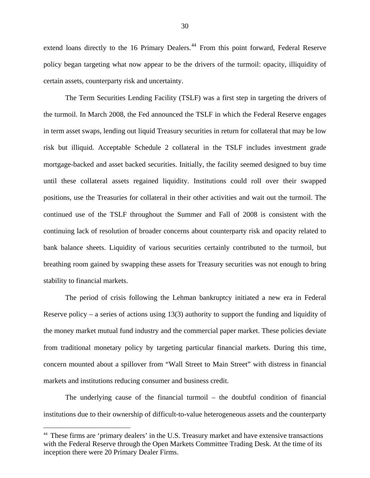extend loans directly to the 16 Primary Dealers.<sup>[44](#page-31-0)</sup> From this point forward, Federal Reserve policy began targeting what now appear to be the drivers of the turmoil: opacity, illiquidity of certain assets, counterparty risk and uncertainty.

The Term Securities Lending Facility (TSLF) was a first step in targeting the drivers of the turmoil. In March 2008, the Fed announced the TSLF in which the Federal Reserve engages in term asset swaps, lending out liquid Treasury securities in return for collateral that may be low risk but illiquid. Acceptable Schedule 2 collateral in the TSLF includes investment grade mortgage-backed and asset backed securities. Initially, the facility seemed designed to buy time until these collateral assets regained liquidity. Institutions could roll over their swapped positions, use the Treasuries for collateral in their other activities and wait out the turmoil. The continued use of the TSLF throughout the Summer and Fall of 2008 is consistent with the continuing lack of resolution of broader concerns about counterparty risk and opacity related to bank balance sheets. Liquidity of various securities certainly contributed to the turmoil, but breathing room gained by swapping these assets for Treasury securities was not enough to bring stability to financial markets.

The period of crisis following the Lehman bankruptcy initiated a new era in Federal Reserve policy – a series of actions using 13(3) authority to support the funding and liquidity of the money market mutual fund industry and the commercial paper market. These policies deviate from traditional monetary policy by targeting particular financial markets. During this time, concern mounted about a spillover from "Wall Street to Main Street" with distress in financial markets and institutions reducing consumer and business credit.

The underlying cause of the financial turmoil – the doubtful condition of financial institutions due to their ownership of difficult-to-value heterogeneous assets and the counterparty

 $\overline{a}$ 

<span id="page-31-0"></span><sup>&</sup>lt;sup>44</sup> These firms are 'primary dealers' in the U.S. Treasury market and have extensive transactions with the Federal Reserve through the Open Markets Committee Trading Desk. At the time of its inception there were 20 Primary Dealer Firms.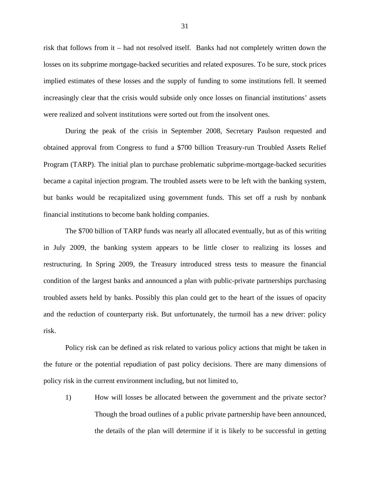risk that follows from it – had not resolved itself. Banks had not completely written down the losses on its subprime mortgage-backed securities and related exposures. To be sure, stock prices implied estimates of these losses and the supply of funding to some institutions fell. It seemed increasingly clear that the crisis would subside only once losses on financial institutions' assets were realized and solvent institutions were sorted out from the insolvent ones.

During the peak of the crisis in September 2008, Secretary Paulson requested and obtained approval from Congress to fund a \$700 billion Treasury-run Troubled Assets Relief Program (TARP). The initial plan to purchase problematic subprime-mortgage-backed securities became a capital injection program. The troubled assets were to be left with the banking system, but banks would be recapitalized using government funds. This set off a rush by nonbank financial institutions to become bank holding companies.

The \$700 billion of TARP funds was nearly all allocated eventually, but as of this writing in July 2009, the banking system appears to be little closer to realizing its losses and restructuring. In Spring 2009, the Treasury introduced stress tests to measure the financial condition of the largest banks and announced a plan with public-private partnerships purchasing troubled assets held by banks. Possibly this plan could get to the heart of the issues of opacity and the reduction of counterparty risk. But unfortunately, the turmoil has a new driver: policy risk.

Policy risk can be defined as risk related to various policy actions that might be taken in the future or the potential repudiation of past policy decisions. There are many dimensions of policy risk in the current environment including, but not limited to,

1) How will losses be allocated between the government and the private sector? Though the broad outlines of a public private partnership have been announced, the details of the plan will determine if it is likely to be successful in getting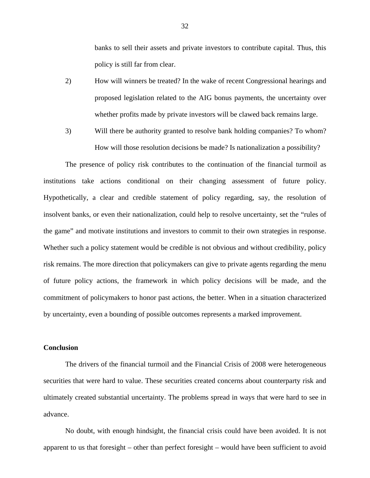banks to sell their assets and private investors to contribute capital. Thus, this policy is still far from clear.

- 2) How will winners be treated? In the wake of recent Congressional hearings and proposed legislation related to the AIG bonus payments, the uncertainty over whether profits made by private investors will be clawed back remains large.
- 3) Will there be authority granted to resolve bank holding companies? To whom? How will those resolution decisions be made? Is nationalization a possibility?

The presence of policy risk contributes to the continuation of the financial turmoil as institutions take actions conditional on their changing assessment of future policy. Hypothetically, a clear and credible statement of policy regarding, say, the resolution of insolvent banks, or even their nationalization, could help to resolve uncertainty, set the "rules of the game" and motivate institutions and investors to commit to their own strategies in response. Whether such a policy statement would be credible is not obvious and without credibility, policy risk remains. The more direction that policymakers can give to private agents regarding the menu of future policy actions, the framework in which policy decisions will be made, and the commitment of policymakers to honor past actions, the better. When in a situation characterized by uncertainty, even a bounding of possible outcomes represents a marked improvement.

#### **Conclusion**

The drivers of the financial turmoil and the Financial Crisis of 2008 were heterogeneous securities that were hard to value. These securities created concerns about counterparty risk and ultimately created substantial uncertainty. The problems spread in ways that were hard to see in advance.

No doubt, with enough hindsight, the financial crisis could have been avoided. It is not apparent to us that foresight – other than perfect foresight – would have been sufficient to avoid

32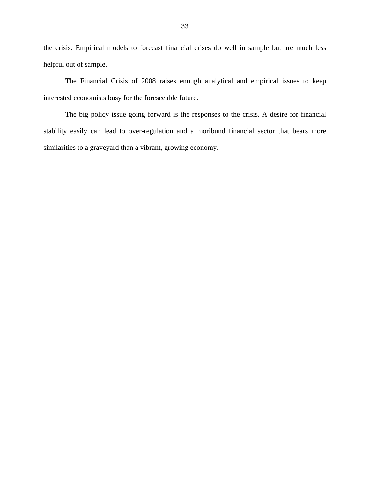the crisis. Empirical models to forecast financial crises do well in sample but are much less helpful out of sample.

The Financial Crisis of 2008 raises enough analytical and empirical issues to keep interested economists busy for the foreseeable future.

The big policy issue going forward is the responses to the crisis. A desire for financial stability easily can lead to over-regulation and a moribund financial sector that bears more similarities to a graveyard than a vibrant, growing economy.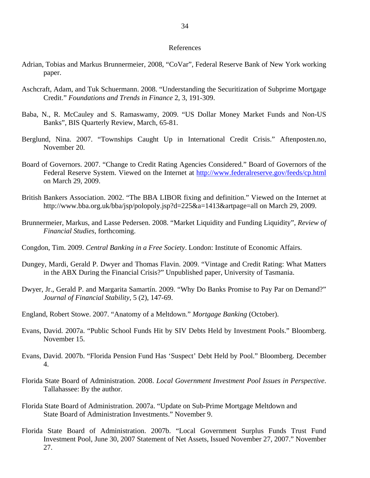#### References

- Adrian, Tobias and Markus Brunnermeier, 2008, "CoVar", Federal Reserve Bank of New York working paper.
- Aschcraft, Adam, and Tuk Schuermann. 2008. "Understanding the Securitization of Subprime Mortgage Credit." *Foundations and Trends in Finance* 2, 3, 191-309.
- Baba, N., R. McCauley and S. Ramaswamy, 2009. "US Dollar Money Market Funds and Non-US Banks", BIS Quarterly Review, March, 65-81.
- Berglund, Nina. 2007. "Townships Caught Up in International Credit Crisis." Aftenposten.no, November 20.
- Board of Governors. 2007. "Change to Credit Rating Agencies Considered." Board of Governors of the Federal Reserve System. Viewed on the Internet at <http://www.federalreserve.gov/feeds/cp.html> on March 29, 2009.
- British Bankers Association. 2002. "The BBA LIBOR fixing and definition." Viewed on the Internet at http://www.bba.org.uk/bba/jsp/polopoly.jsp?d=225&a=1413&artpage=all on March 29, 2009.
- Brunnermeier, Markus, and Lasse Pedersen. 2008. "Market Liquidity and Funding Liquidity", *Review of Financial Studies*, forthcoming.
- Congdon, Tim. 2009. *Central Banking in a Free Society*. London: Institute of Economic Affairs.
- Dungey, Mardi, Gerald P. Dwyer and Thomas Flavin. 2009. "Vintage and Credit Rating: What Matters in the ABX During the Financial Crisis?" Unpublished paper, University of Tasmania.
- Dwyer, Jr., Gerald P. and Margarita Samartín. 2009. "Why Do Banks Promise to Pay Par on Demand?" *Journal of Financial Stability*, 5 (2), 147-69.
- England, Robert Stowe. 2007. "Anatomy of a Meltdown." *Mortgage Banking* (October).
- Evans, David. 2007a. "Public School Funds Hit by SIV Debts Held by Investment Pools." Bloomberg. November 15.
- Evans, David. 2007b. "Florida Pension Fund Has 'Suspect' Debt Held by Pool." Bloomberg. December 4.
- Florida State Board of Administration. 2008. *Local Government Investment Pool Issues in Perspective*. Tallahassee: By the author.
- Florida State Board of Administration. 2007a. "Update on Sub-Prime Mortgage Meltdown and State Board of Administration Investments." November 9.
- Florida State Board of Administration. 2007b. "Local Government Surplus Funds Trust Fund Investment Pool, June 30, 2007 Statement of Net Assets, Issued November 27, 2007." November 27.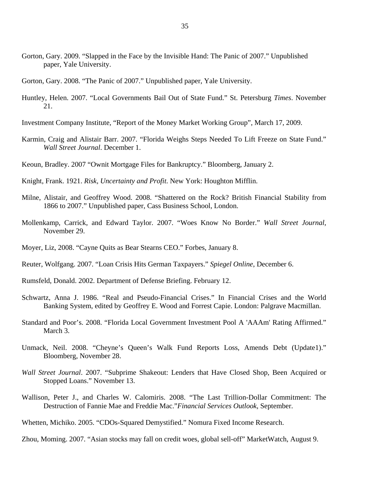- Gorton, Gary. 2009. "Slapped in the Face by the Invisible Hand: The Panic of 2007." Unpublished paper, Yale University.
- Gorton, Gary. 2008. "The Panic of 2007." Unpublished paper, Yale University.
- Huntley, Helen. 2007. "Local Governments Bail Out of State Fund." St. Petersburg *Times*. November 21.
- Investment Company Institute, "Report of the Money Market Working Group", March 17, 2009.
- Karmin, Craig and Alistair Barr. 2007. "Florida Weighs Steps Needed To Lift Freeze on State Fund." *Wall Street Journal*. December 1.
- Keoun, Bradley. 2007 "Ownit Mortgage Files for Bankruptcy." Bloomberg, January 2.
- Knight, Frank. 1921. *Risk, Uncertainty and Profit*. New York: Houghton Mifflin.
- Milne, Alistair, and Geoffrey Wood. 2008. "Shattered on the Rock? British Financial Stability from 1866 to 2007." Unpublished paper, Cass Business School, London.
- Mollenkamp, Carrick, and Edward Taylor. 2007. "Woes Know No Border." *Wall Street Journal*, November 29.
- Moyer, Liz, 2008. "Cayne Quits as Bear Stearns CEO." Forbes, January 8.
- Reuter, Wolfgang. 2007. "Loan Crisis Hits German Taxpayers." *Spiegel Online*, December 6.
- Rumsfeld, Donald. 2002. Department of Defense Briefing. February 12.
- Schwartz, Anna J. 1986. "Real and Pseudo-Financial Crises." In Financial Crises and the World Banking System, edited by Geoffrey E. Wood and Forrest Capie. London: Palgrave Macmillan.
- Standard and Poor's. 2008. "Florida Local Government Investment Pool A 'AAAm' Rating Affirmed." March 3.
- Unmack, Neil. 2008. "Cheyne's Queen's Walk Fund Reports Loss, Amends Debt (Update1)." Bloomberg, November 28.
- *Wall Street Journal*. 2007. "Subprime Shakeout: Lenders that Have Closed Shop, Been Acquired or Stopped Loans." November 13.
- Wallison, Peter J., and Charles W. Calomiris. 2008. "The Last Trillion-Dollar Commitment: The Destruction of Fannie Mae and Freddie Mac."*Financial Services Outlook*, September.

Whetten, Michiko. 2005. "CDOs-Squared Demystified." Nomura Fixed Income Research.

Zhou, Moming. 2007. "Asian stocks may fall on credit woes, global sell-off" MarketWatch, August 9.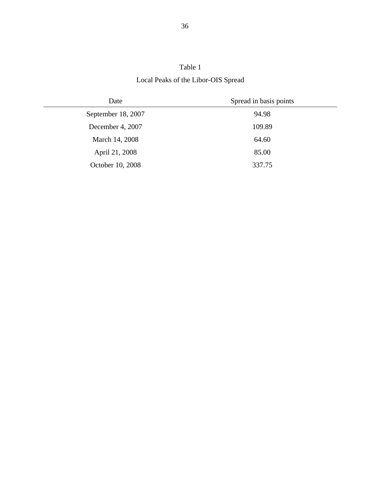Table 1 Local Peaks of the Libor-OIS Spread

| Date               | Spread in basis points |
|--------------------|------------------------|
| September 18, 2007 | 94.98                  |
| December 4, 2007   | 109.89                 |
| March 14, 2008     | 64.60                  |
| April 21, 2008     | 85.00                  |
| October 10, 2008   | 337.75                 |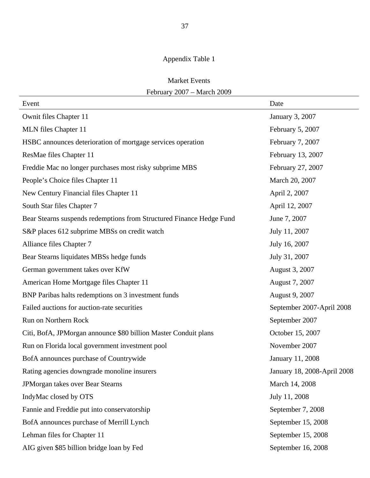## Appendix Table 1

### Market Events

#### February 2007 – March 2009

| Event                                                                | Date                        |
|----------------------------------------------------------------------|-----------------------------|
| Ownit files Chapter 11                                               | January 3, 2007             |
| MLN files Chapter 11                                                 | February 5, 2007            |
| HSBC announces deterioration of mortgage services operation          | February 7, 2007            |
| ResMae files Chapter 11                                              | February 13, 2007           |
| Freddie Mac no longer purchases most risky subprime MBS              | February 27, 2007           |
| People's Choice files Chapter 11                                     | March 20, 2007              |
| New Century Financial files Chapter 11                               | April 2, 2007               |
| South Star files Chapter 7                                           | April 12, 2007              |
| Bear Stearns suspends redemptions from Structured Finance Hedge Fund | June 7, 2007                |
| S&P places 612 subprime MBSs on credit watch                         | July 11, 2007               |
| Alliance files Chapter 7                                             | July 16, 2007               |
| Bear Stearns liquidates MBSs hedge funds                             | July 31, 2007               |
| German government takes over KfW                                     | August 3, 2007              |
| American Home Mortgage files Chapter 11                              | August 7, 2007              |
| BNP Paribas halts redemptions on 3 investment funds                  | August 9, 2007              |
| Failed auctions for auction-rate securities                          | September 2007-April 2008   |
| Run on Northern Rock                                                 | September 2007              |
| Citi, BofA, JPMorgan announce \$80 billion Master Conduit plans      | October 15, 2007            |
| Run on Florida local government investment pool                      | November 2007               |
| BofA announces purchase of Countrywide                               | January 11, 2008            |
| Rating agencies downgrade monoline insurers                          | January 18, 2008-April 2008 |
| JPM organ takes over Bear Stearns                                    | March 14, 2008              |
| IndyMac closed by OTS                                                | July 11, 2008               |
| Fannie and Freddie put into conservatorship                          | September 7, 2008           |
| BofA announces purchase of Merrill Lynch                             | September 15, 2008          |
| Lehman files for Chapter 11                                          | September 15, 2008          |
| AIG given \$85 billion bridge loan by Fed                            | September 16, 2008          |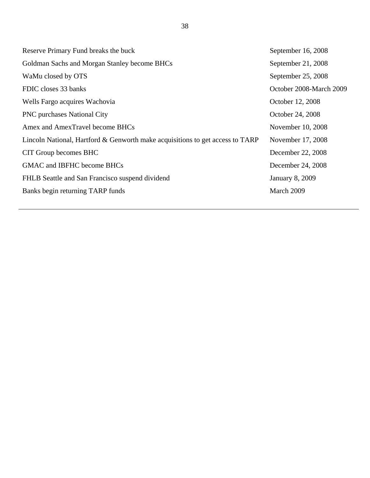| Reserve Primary Fund breaks the buck                                          | September 16, 2008      |
|-------------------------------------------------------------------------------|-------------------------|
| Goldman Sachs and Morgan Stanley become BHCs                                  | September 21, 2008      |
| WaMu closed by OTS                                                            | September 25, 2008      |
| FDIC closes 33 banks                                                          | October 2008-March 2009 |
| Wells Fargo acquires Wachovia                                                 | October 12, 2008        |
| PNC purchases National City                                                   | October 24, 2008        |
| Amex and AmexTravel become BHCs                                               | November 10, 2008       |
| Lincoln National, Hartford & Genworth make acquisitions to get access to TARP | November 17, 2008       |
| CIT Group becomes BHC                                                         | December 22, 2008       |
| GMAC and IBFHC become BHCs                                                    | December 24, 2008       |
| FHLB Seattle and San Francisco suspend dividend                               | <b>January 8, 2009</b>  |
| Banks begin returning TARP funds                                              | March 2009              |
|                                                                               |                         |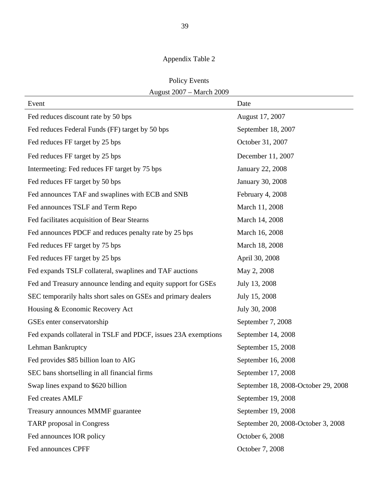## Appendix Table 2

## Policy Events August 2007 – March 2009

| Event                                                          | Date                                |
|----------------------------------------------------------------|-------------------------------------|
| Fed reduces discount rate by 50 bps                            | August 17, 2007                     |
| Fed reduces Federal Funds (FF) target by 50 bps                | September 18, 2007                  |
| Fed reduces FF target by 25 bps                                | October 31, 2007                    |
| Fed reduces FF target by 25 bps                                | December 11, 2007                   |
| Intermeeting: Fed reduces FF target by 75 bps                  | <b>January 22, 2008</b>             |
| Fed reduces FF target by 50 bps                                | January 30, 2008                    |
| Fed announces TAF and swaplines with ECB and SNB               | February 4, 2008                    |
| Fed announces TSLF and Term Repo                               | March 11, 2008                      |
| Fed facilitates acquisition of Bear Stearns                    | March 14, 2008                      |
| Fed announces PDCF and reduces penalty rate by 25 bps          | March 16, 2008                      |
| Fed reduces FF target by 75 bps                                | March 18, 2008                      |
| Fed reduces FF target by 25 bps                                | April 30, 2008                      |
| Fed expands TSLF collateral, swaplines and TAF auctions        | May 2, 2008                         |
| Fed and Treasury announce lending and equity support for GSEs  | July 13, 2008                       |
| SEC temporarily halts short sales on GSEs and primary dealers  | July 15, 2008                       |
| Housing & Economic Recovery Act                                | July 30, 2008                       |
| GSEs enter conservatorship                                     | September 7, 2008                   |
| Fed expands collateral in TSLF and PDCF, issues 23A exemptions | September 14, 2008                  |
| Lehman Bankruptcy                                              | September 15, 2008                  |
| Fed provides \$85 billion loan to AIG                          | September 16, 2008                  |
| SEC bans shortselling in all financial firms                   | September 17, 2008                  |
| Swap lines expand to \$620 billion                             | September 18, 2008-October 29, 2008 |
| Fed creates AMLF                                               | September 19, 2008                  |
| Treasury announces MMMF guarantee                              | September 19, 2008                  |
| TARP proposal in Congress                                      | September 20, 2008-October 3, 2008  |
| Fed announces IOR policy                                       | October 6, 2008                     |
| Fed announces CPFF                                             | October 7, 2008                     |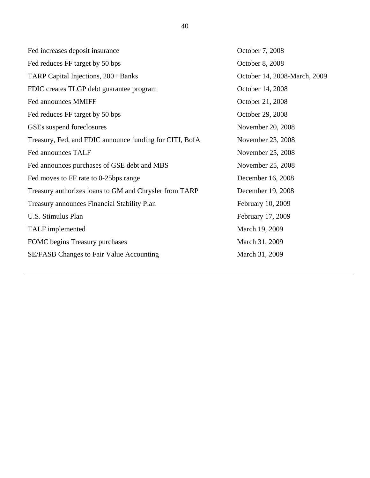Fed increases deposit insurance October 7, 2008 Fed reduces FF target by 50 bps October 8, 2008 TARP Capital Injections, 200+ Banks Cocober 14, 2008-March, 2009 FDIC creates TLGP debt guarantee program October 14, 2008 Fed announces MMIFF COUNTER CORPORATION CORPORATION CONTROL CONTRACT ON A CONTRACT OF SALE OF STREET AND THE STREET OF STREET AND THE STREET OF STREET AND THE STREET OF STREET AND THE STREET OF STREET AND THE STREET OF STR Fed reduces FF target by 50 bps October 29, 2008 GSEs suspend foreclosures November 20, 2008 Treasury, Fed, and FDIC announce funding for CITI, BofA November 23, 2008 Fed announces TALF November 25, 2008 Fed announces purchases of GSE debt and MBS November 25, 2008 Fed moves to FF rate to 0-25bps range December 16, 2008 Treasury authorizes loans to GM and Chrysler from TARP December 19, 2008 Treasury announces Financial Stability Plan February 10, 2009 U.S. Stimulus Plan February 17, 2009 TALF implemented March 19, 2009 FOMC begins Treasury purchases March 31, 2009 SE/FASB Changes to Fair Value Accounting March 31, 2009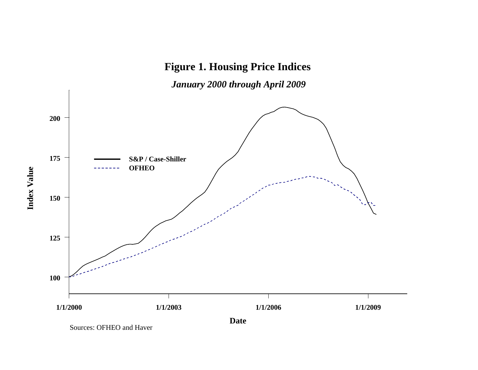## **Figure 1. Housing Price Indices**

*January 2000 through April 2009*

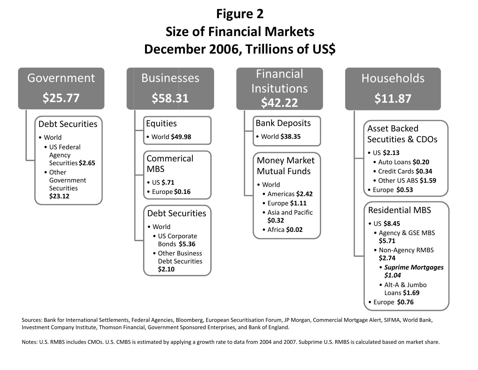## **Sizze of Finnancial MMarketsDecem mber 20 006, Trill ions of sUS\$ F igure 2**



Sources: Bank for International Settlements, Federal Agencies, Bloomberg, European Securitisation Forum, JP Morgan, Commercial Mortgage Alert, SIFMA, World Bank, Investment Company Institute, Thomson Financial, Government Sponsored Enterprises, and Bank of England.

Notes: U.S. RMBS includes CMOs. U.S. CMBS is estimated by applying a growth rate to data from 2004 and 2007. Subprime U.S. RMBS is calculated based on market share.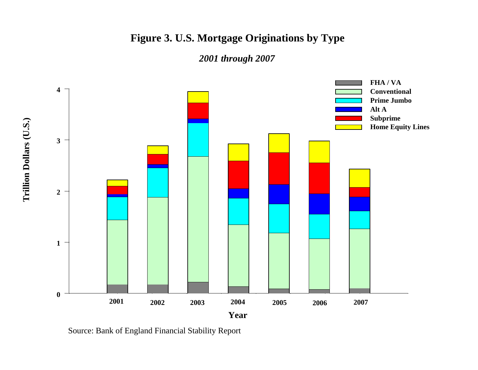## **Figure 3. U.S. Mortgage Originations by Type**

## *2001 through 2007*



Source: Bank of England Financial Stability Report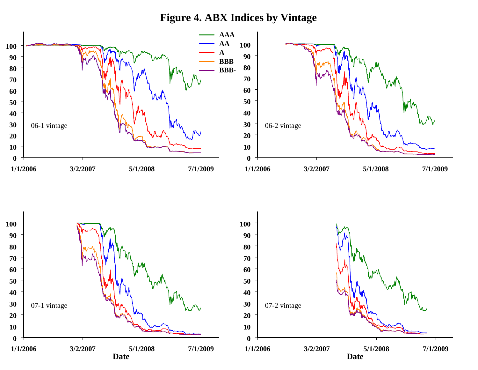**Figure 4. ABX Indices by Vintage**





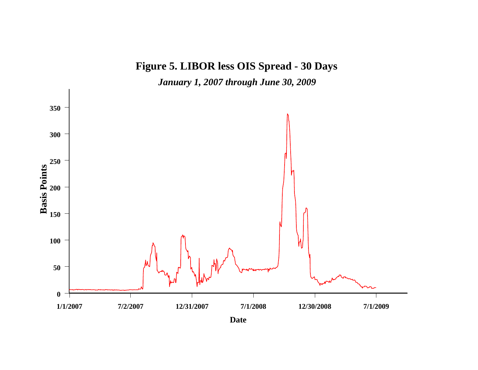## **Figure 5. LIBOR less OIS Spread - 30 Days**

*January 1, 2007 through June 30, 2009*

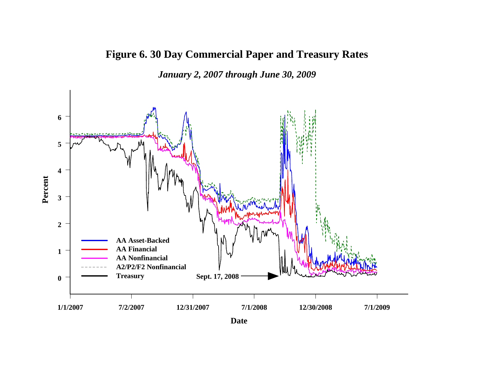## **Figure 6. 30 Day Commercial Paper and Treasury Rates**

*January 2, 2007 through June 30, 2009*

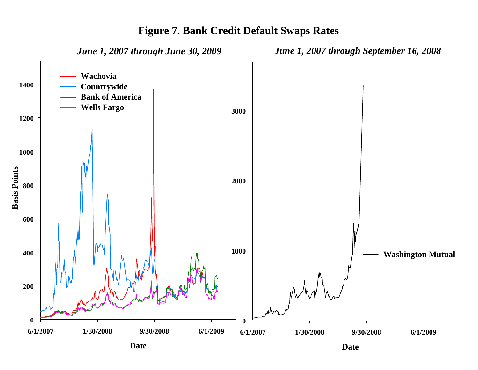## **Figure 7. Bank Credit Default Swaps Rates**

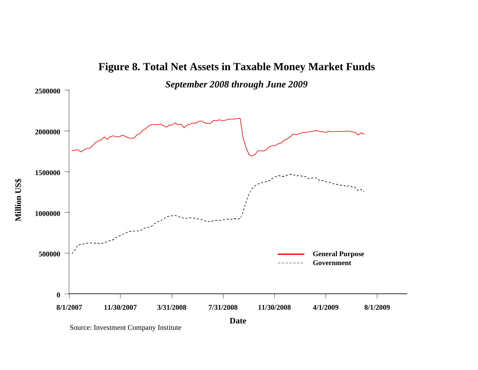



Source: Investment Company Institute

**Million US\$**

Million US\$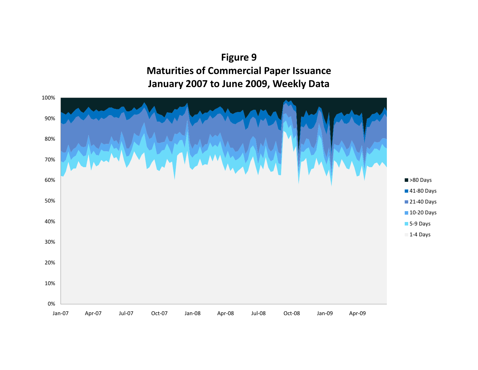**Figure 9 Maturities of Commercial Paper Issuance January 2007 to June 2009, Weekly Data**